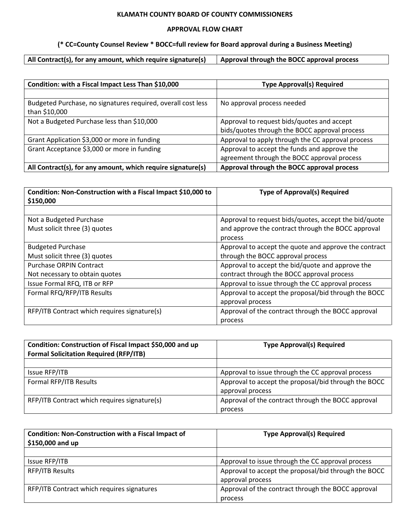#### **KLAMATH COUNTY BOARD OF COUNTY COMMISSIONERS**

#### **APPROVAL FLOW CHART**

#### **(\* CC=County Counsel Review \* BOCC=full review for Board approval during a Business Meeting)**

 $\mathsf{I}$ 

| Condition: with a Fiscal Impact Less Than \$10,000           | <b>Type Approval(s) Required</b>                  |
|--------------------------------------------------------------|---------------------------------------------------|
|                                                              |                                                   |
| Budgeted Purchase, no signatures required, overall cost less | No approval process needed                        |
| than \$10,000                                                |                                                   |
| Not a Budgeted Purchase less than \$10,000                   | Approval to request bids/quotes and accept        |
|                                                              | bids/quotes through the BOCC approval process     |
| Grant Application \$3,000 or more in funding                 | Approval to apply through the CC approval process |
| Grant Acceptance \$3,000 or more in funding                  | Approval to accept the funds and approve the      |
|                                                              | agreement through the BOCC approval process       |
| All Contract(s), for any amount, which require signature(s)  | Approval through the BOCC approval process        |

| Condition: Non-Construction with a Fiscal Impact \$10,000 to<br>\$150,000 | <b>Type of Approval(s) Required</b>                   |
|---------------------------------------------------------------------------|-------------------------------------------------------|
|                                                                           |                                                       |
| Not a Budgeted Purchase                                                   | Approval to request bids/quotes, accept the bid/quote |
| Must solicit three (3) quotes                                             | and approve the contract through the BOCC approval    |
|                                                                           | process                                               |
| <b>Budgeted Purchase</b>                                                  | Approval to accept the quote and approve the contract |
| Must solicit three (3) quotes                                             | through the BOCC approval process                     |
| <b>Purchase ORPIN Contract</b>                                            | Approval to accept the bid/quote and approve the      |
| Not necessary to obtain quotes                                            | contract through the BOCC approval process            |
| Issue Formal RFQ, ITB or RFP                                              | Approval to issue through the CC approval process     |
| Formal RFQ/RFP/ITB Results                                                | Approval to accept the proposal/bid through the BOCC  |
|                                                                           | approval process                                      |
| RFP/ITB Contract which requires signature(s)                              | Approval of the contract through the BOCC approval    |
|                                                                           | process                                               |

| Condition: Construction of Fiscal Impact \$50,000 and up<br><b>Formal Solicitation Required (RFP/ITB)</b> | <b>Type Approval(s) Required</b>                     |
|-----------------------------------------------------------------------------------------------------------|------------------------------------------------------|
|                                                                                                           |                                                      |
| Issue RFP/ITB                                                                                             | Approval to issue through the CC approval process    |
| Formal RFP/ITB Results                                                                                    | Approval to accept the proposal/bid through the BOCC |
|                                                                                                           | approval process                                     |
| RFP/ITB Contract which requires signature(s)                                                              | Approval of the contract through the BOCC approval   |
|                                                                                                           | process                                              |

| <b>Condition: Non-Construction with a Fiscal Impact of</b><br>\$150,000 and up | <b>Type Approval(s) Required</b>                     |
|--------------------------------------------------------------------------------|------------------------------------------------------|
|                                                                                |                                                      |
| Issue RFP/ITB                                                                  | Approval to issue through the CC approval process    |
| RFP/ITB Results                                                                | Approval to accept the proposal/bid through the BOCC |
|                                                                                | approval process                                     |
| RFP/ITB Contract which requires signatures                                     | Approval of the contract through the BOCC approval   |
|                                                                                | process                                              |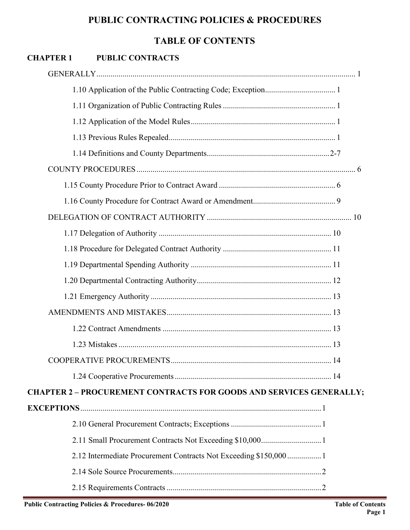# **TABLE OF CONTENTS**

# **CHAPTER 1 PUBLIC CONTRACTS**

| <b>CHAPTER 2 - PROCUREMENT CONTRACTS FOR GOODS AND SERVICES GENERALLY;</b> |  |
|----------------------------------------------------------------------------|--|
|                                                                            |  |
|                                                                            |  |
|                                                                            |  |
| 2.12 Intermediate Procurement Contracts Not Exceeding \$150,0001           |  |
|                                                                            |  |
|                                                                            |  |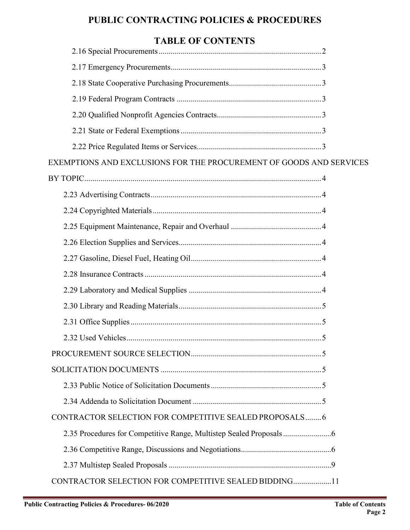# **TABLE OF CONTENTS**

| EXEMPTIONS AND EXCLUSIONS FOR THE PROCUREMENT OF GOODS AND SERVICES |  |
|---------------------------------------------------------------------|--|
|                                                                     |  |
|                                                                     |  |
|                                                                     |  |
|                                                                     |  |
|                                                                     |  |
|                                                                     |  |
|                                                                     |  |
|                                                                     |  |
|                                                                     |  |
|                                                                     |  |
|                                                                     |  |
|                                                                     |  |
|                                                                     |  |
|                                                                     |  |
|                                                                     |  |
| CONTRACTOR SELECTION FOR COMPETITIVE SEALED PROPOSALS 6             |  |
|                                                                     |  |
|                                                                     |  |
|                                                                     |  |
| CONTRACTOR SELECTION FOR COMPETITIVE SEALED BIDDING11               |  |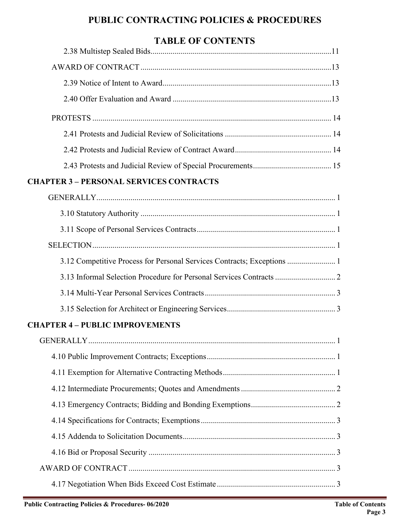# **TABLE OF CONTENTS**

| THEFT OF CONTRIGUE                                                      |  |
|-------------------------------------------------------------------------|--|
|                                                                         |  |
|                                                                         |  |
|                                                                         |  |
|                                                                         |  |
|                                                                         |  |
|                                                                         |  |
|                                                                         |  |
|                                                                         |  |
| <b>CHAPTER 3 - PERSONAL SERVICES CONTRACTS</b>                          |  |
|                                                                         |  |
|                                                                         |  |
|                                                                         |  |
|                                                                         |  |
| 3.12 Competitive Process for Personal Services Contracts; Exceptions  1 |  |
| 3.13 Informal Selection Procedure for Personal Services Contracts  2    |  |
|                                                                         |  |
|                                                                         |  |
| <b>CHAPTER 4 - PUBLIC IMPROVEMENTS</b>                                  |  |
|                                                                         |  |
|                                                                         |  |
|                                                                         |  |
|                                                                         |  |
|                                                                         |  |
|                                                                         |  |
|                                                                         |  |
|                                                                         |  |
|                                                                         |  |
|                                                                         |  |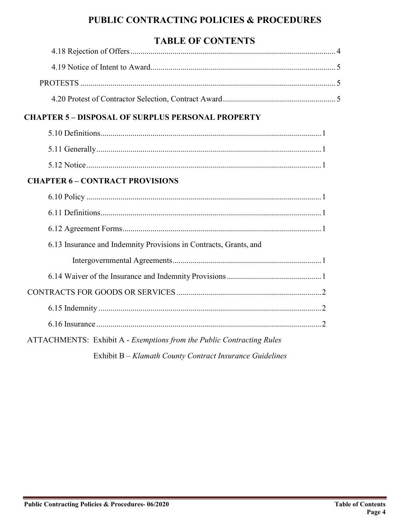# **TABLE OF CONTENTS**

# **CHAPTER 5 – DISPOSAL OF SURPLUS PERSONAL PROPERTY**

# **CHAPTER 6 – CONTRACT PROVISIONS**

| 6.13 Insurance and Indemnity Provisions in Contracts, Grants, and     |  |
|-----------------------------------------------------------------------|--|
|                                                                       |  |
|                                                                       |  |
|                                                                       |  |
|                                                                       |  |
|                                                                       |  |
| ATTACHMENTS: Exhibit A - Exemptions from the Public Contracting Rules |  |

Exhibit B – *Klamath County Contract Insurance Guidelines*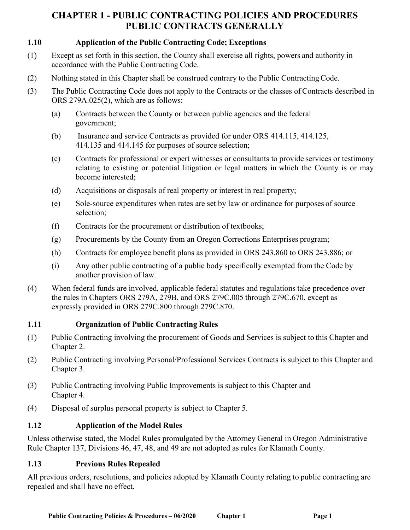## **1.10 Application of the Public Contracting Code; Exceptions**

- (1) Except as set forth in this section, the County shall exercise all rights, powers and authority in accordance with the Public Contracting Code.
- (2) Nothing stated in this Chapter shall be construed contrary to the Public Contracting Code.
- (3) The Public Contracting Code does not apply to the Contracts or the classes of Contracts described in ORS 279A.025(2), which are as follows:
	- (a) Contracts between the County or between public agencies and the federal government;
	- (b) Insurance and service Contracts as provided for under ORS 414.115, 414.125, 414.135 and 414.145 for purposes of source selection;
	- (c) Contracts for professional or expert witnesses or consultants to provide services or testimony relating to existing or potential litigation or legal matters in which the County is or may become interested;
	- (d) Acquisitions or disposals of real property or interest in real property;
	- (e) Sole-source expenditures when rates are set by law or ordinance for purposes of source selection;
	- (f) Contracts for the procurement or distribution of textbooks;
	- (g) Procurements by the County from an Oregon Corrections Enterprises program;
	- (h) Contracts for employee benefit plans as provided in ORS 243.860 to ORS 243.886; or
	- (i) Any other public contracting of a public body specifically exempted from the Code by another provision of law.
- (4) When federal funds are involved, applicable federal statutes and regulations take precedence over the rules in Chapters ORS 279A, 279B, and ORS 279C.005 through 279C.670, except as expressly provided in ORS 279C.800 through 279C.870.

### **1.11 Organization of Public Contracting Rules**

- (1) Public Contracting involving the procurement of Goods and Services is subject to this Chapter and Chapter 2.
- (2) Public Contracting involving Personal/Professional Services Contracts is subject to this Chapter and Chapter 3.
- (3) Public Contracting involving Public Improvements is subject to this Chapter and Chapter 4.
- (4) Disposal of surplus personal property is subject to Chapter 5.

### **1.12 Application of the Model Rules**

Unless otherwise stated, the Model Rules promulgated by the Attorney General in Oregon Administrative Rule Chapter 137, Divisions 46, 47, 48, and 49 are not adopted as rules for Klamath County.

### **1.13 Previous Rules Repealed**

All previous orders, resolutions, and policies adopted by Klamath County relating to public contracting are repealed and shall have no effect.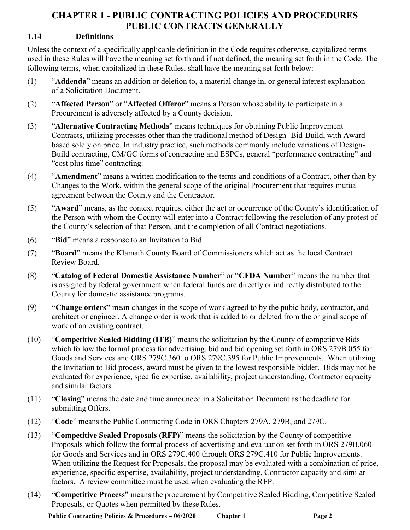## **1.14 Definitions**

Unless the context of a specifically applicable definition in the Code requires otherwise, capitalized terms used in these Rules will have the meaning set forth and if not defined, the meaning set forth in the Code. The following terms, when capitalized in these Rules, shall have the meaning set forth below:

- (1) "**Addenda**" means an addition or deletion to, a material change in, or general interest explanation of a Solicitation Document.
- (2) "**Affected Person**" or "**Affected Offeror**" means a Person whose ability to participate in a Procurement is adversely affected by a County decision.
- (3) "**Alternative Contracting Methods**" means techniques for obtaining Public Improvement Contracts, utilizing processes other than the traditional method of Design- Bid-Build, with Award based solely on price. In industry practice, such methods commonly include variations of Design-Build contracting, CM/GC forms of contracting and ESPCs, general "performance contracting" and "cost plus time" contracting.
- (4) "**Amendment**" means a written modification to the terms and conditions of a Contract, other than by Changes to the Work, within the general scope of the original Procurement that requires mutual agreement between the County and the Contractor.
- (5) "**Award**" means, as the context requires, either the act or occurrence of the County's identification of the Person with whom the County will enter into a Contract following the resolution of any protest of the County's selection of that Person, and the completion of all Contract negotiations.
- (6) "**Bid**" means a response to an Invitation to Bid.
- (7) "**Board**" means the Klamath County Board of Commissioners which act as the local Contract Review Board.
- (8) "**Catalog of Federal Domestic Assistance Number**" or "**CFDA Number**" meansthe number that is assigned by federal government when federal funds are directly or indirectly distributed to the County for domestic assistance programs.
- (9) **"Change orders"** mean changes in the scope of work agreed to by the pubic body, contractor, and architect or engineer. A change order is work that is added to or deleted from the original scope of work of an existing contract.
- (10) "**Competitive Sealed Bidding (ITB)**" means the solicitation by the County of competitive Bids which follow the formal process for advertising, bid and bid opening set forth in ORS 279B.055 for Goods and Services and ORS 279C.360 to ORS 279C.395 for Public Improvements. When utilizing the Invitation to Bid process, award must be given to the lowest responsible bidder. Bids may not be evaluated for experience, specific expertise, availability, project understanding, Contractor capacity and similar factors.
- (11) "**Closing**" means the date and time announced in a Solicitation Document as the deadline for submitting Offers.
- (12) "**Code**" means the Public Contracting Code in ORS Chapters 279A, 279B, and 279C.
- (13) "**Competitive Sealed Proposals (RFP)**" means the solicitation by the County of competitive Proposals which follow the formal process of advertising and evaluation set forth in ORS 279B.060 for Goods and Services and in ORS 279C.400 through ORS 279C.410 for Public Improvements. When utilizing the Request for Proposals, the proposal may be evaluated with a combination of price, experience, specific expertise, availability, project understanding, Contractor capacity and similar factors. A review committee must be used when evaluating the RFP.
- (14) "**Competitive Process**" means the procurement by Competitive Sealed Bidding, Competitive Sealed Proposals, or Quotes when permitted by these Rules.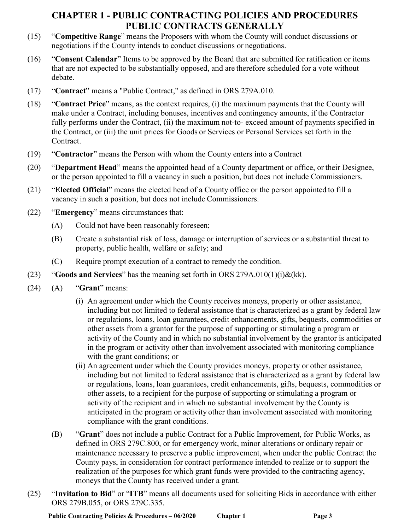- (15) "**Competitive Range**" means the Proposers with whom the County will conduct discussions or negotiations if the County intends to conduct discussions or negotiations.
- (16) "**Consent Calendar**" Items to be approved by the Board that are submitted for ratification or items that are not expected to be substantially opposed, and are therefore scheduled for a vote without debate.
- (17) "**Contract**" means a "Public Contract," as defined in ORS 279A.010.
- (18) "**Contract Price**" means, as the context requires, (i) the maximum payments that the County will make under a Contract, including bonuses, incentives and contingency amounts, if the Contractor fully performs under the Contract, (ii) the maximum not-to- exceed amount of payments specified in the Contract, or (iii) the unit prices for Goods or Services or Personal Services set forth in the Contract.
- (19) "**Contractor**" means the Person with whom the County enters into a Contract
- (20) "**Department Head**" means the appointed head of a County department or office, or their Designee, or the person appointed to fill a vacancy in such a position, but does not include Commissioners.
- (21) "**Elected Official**" means the elected head of a County office or the person appointed to fill a vacancy in such a position, but does not include Commissioners.
- (22) "**Emergency**" means circumstances that:
	- (A) Could not have been reasonably foreseen;
	- (B) Create a substantial risk of loss, damage or interruption of services or a substantial threat to property, public health, welfare or safety; and
	- (C) Require prompt execution of a contract to remedy the condition.
- (23) "**Goods and Services**" has the meaning set forth in ORS 279A.010(1)(i)&(kk).
- (24) (A) "**Grant**" means:
	- (i) An agreement under which the County receives moneys, property or other assistance, including but not limited to federal assistance that is characterized as a grant by federal law or regulations, loans, loan guarantees, credit enhancements, gifts, bequests, commodities or other assets from a grantor for the purpose of supporting or stimulating a program or activity of the County and in which no substantial involvement by the grantor is anticipated in the program or activity other than involvement associated with monitoring compliance with the grant conditions; or
	- (ii) An agreement under which the County provides moneys, property or other assistance, including but not limited to federal assistance that is characterized as a grant by federal law or regulations, loans, loan guarantees, credit enhancements, gifts, bequests, commodities or other assets, to a recipient for the purpose of supporting or stimulating a program or activity of the recipient and in which no substantial involvement by the County is anticipated in the program or activity other than involvement associated with monitoring compliance with the grant conditions.
	- (B) "**Grant**" does not include a public Contract for a Public Improvement, for Public Works, as defined in ORS 279C.800, or for emergency work, minor alterations or ordinary repair or maintenance necessary to preserve a public improvement, when under the public Contract the County pays, in consideration for contract performance intended to realize or to support the realization of the purposes for which grant funds were provided to the contracting agency, moneys that the County has received under a grant.
- (25) "**Invitation to Bid**" or "**ITB**" means all documents used for soliciting Bids in accordance with either ORS 279B.055, or ORS 279C.335.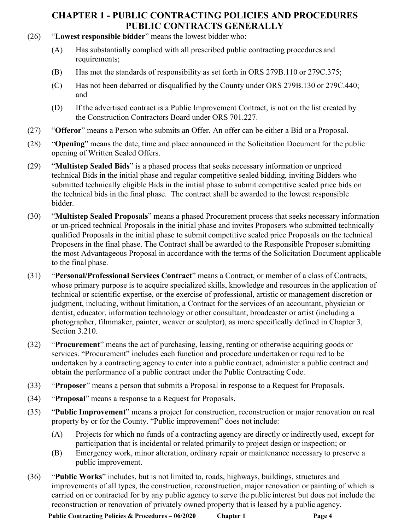- (26) "**Lowest responsible bidder**" means the lowest bidder who:
	- (A) Has substantially complied with all prescribed public contracting procedures and requirements;
	- (B) Has met the standards of responsibility as set forth in ORS 279B.110 or 279C.375;
	- (C) Has not been debarred or disqualified by the County under ORS 279B.130 or 279C.440; and
	- (D) If the advertised contract is a Public Improvement Contract, is not on the list created by the Construction Contractors Board under ORS 701.227.
- (27) "**Offeror**" means a Person who submits an Offer. An offer can be either a Bid or a Proposal.
- (28) "**Opening**" means the date, time and place announced in the Solicitation Document for the public opening of Written Sealed Offers.
- (29) "**Multistep Sealed Bids**" is a phased process that seeks necessary information or unpriced technical Bids in the initial phase and regular competitive sealed bidding, inviting Bidders who submitted technically eligible Bids in the initial phase to submit competitive sealed price bids on the technical bids in the final phase. The contract shall be awarded to the lowest responsible bidder.
- (30) "**Multistep Sealed Proposals**" means a phased Procurement process that seeks necessary information or un-priced technical Proposals in the initial phase and invites Proposers who submitted technically qualified Proposals in the initial phase to submit competitive sealed price Proposals on the technical Proposers in the final phase. The Contract shall be awarded to the Responsible Proposer submitting the most Advantageous Proposal in accordance with the terms of the Solicitation Document applicable to the final phase.
- (31) "**Personal/Professional Services Contract**" means a Contract, or member of a class of Contracts, whose primary purpose is to acquire specialized skills, knowledge and resources in the application of technical or scientific expertise, or the exercise of professional, artistic or management discretion or judgment, including, without limitation, a Contract for the services of an accountant, physician or dentist, educator, information technology or other consultant, broadcaster or artist (including a photographer, filmmaker, painter, weaver or sculptor), as more specifically defined in Chapter 3, Section 3.210.
- (32) "**Procurement**" means the act of purchasing, leasing, renting or otherwise acquiring goods or services. "Procurement" includes each function and procedure undertaken or required to be undertaken by a contracting agency to enter into a public contract, administer a public contract and obtain the performance of a public contract under the Public Contracting Code.
- (33) "**Proposer**" means a person that submits a Proposal in response to a Request for Proposals.
- (34) "**Proposal**" means a response to a Request for Proposals.
- (35) "**Public Improvement**" means a project for construction, reconstruction or major renovation on real property by or for the County. "Public improvement" does not include:
	- (A) Projects for which no funds of a contracting agency are directly or indirectly used, except for participation that is incidental or related primarily to project design or inspection; or
	- (B) Emergency work, minor alteration, ordinary repair or maintenance necessary to preserve a public improvement.
- (36) "**Public Works**" includes, but is not limited to, roads, highways, buildings, structures and improvements of all types, the construction, reconstruction, major renovation or painting of which is carried on or contracted for by any public agency to serve the public interest but does not include the reconstruction or renovation of privately owned property that is leased by a public agency.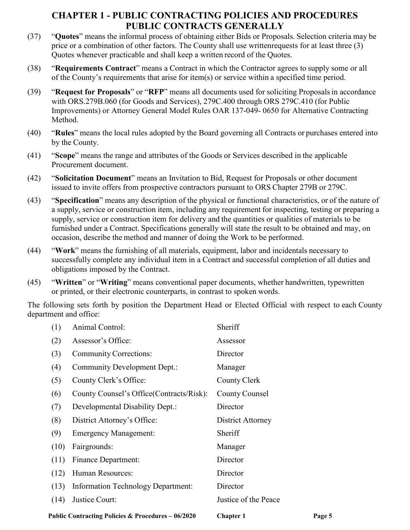- (37) "**Quotes**" means the informal process of obtaining either Bids or Proposals. Selection criteria may be price or a combination of other factors. The County shall use writtenrequests for at least three (3) Quotes whenever practicable and shall keep a written record of the Quotes.
- (38) "**Requirements Contract**" means a Contract in which the Contractor agrees to supply some or all of the County's requirements that arise for item(s) or service within a specified time period.
- (39) "**Request for Proposals**" or "**RFP**" means all documents used for soliciting Proposalsin accordance with ORS.279B.060 (for Goods and Services), 279C.400 through ORS 279C.410 (for Public Improvements) or Attorney General Model Rules OAR 137-049- 0650 for Alternative Contracting Method.
- (40) "**Rules**" means the local rules adopted by the Board governing all Contracts or purchases entered into by the County.
- (41) "**Scope**" means the range and attributes of the Goods or Services described in the applicable Procurement document.
- (42) "**Solicitation Document**" means an Invitation to Bid, Request for Proposals or other document issued to invite offers from prospective contractors pursuant to ORS Chapter 279B or 279C.
- (43) "**Specification**" means any description of the physical or functional characteristics, or of the nature of a supply, service or construction item, including any requirement for inspecting, testing or preparing a supply, service or construction item for delivery and the quantities or qualities of materials to be furnished under a Contract. Specifications generally will state the result to be obtained and may, on occasion, describe the method and manner of doing the Work to be performed.
- (44) "**Work**" means the furnishing of all materials, equipment, labor and incidentals necessary to successfully complete any individual item in a Contract and successful completion of all duties and obligations imposed by the Contract.
- (45) "**Written**" or "**Writing**" means conventional paper documents, whether handwritten, typewritten or printed, or their electronic counterparts, in contrast to spoken words.

The following sets forth by position the Department Head or Elected Official with respect to each County department and office:

|      | Public Contracting Policies & Procedures - 06/2020 | <b>Chapter 1</b>     | Page 5 |
|------|----------------------------------------------------|----------------------|--------|
| (14) | Justice Court:                                     | Justice of the Peace |        |
| (13) | <b>Information Technology Department:</b>          | Director             |        |
| (12) | Human Resources:                                   | Director             |        |
| (11) | <b>Finance Department:</b>                         | Director             |        |
| (10) | Fairgrounds:                                       | Manager              |        |
| (9)  | <b>Emergency Management:</b>                       | Sheriff              |        |
| (8)  | District Attorney's Office:                        | District Attorney    |        |
| (7)  | Developmental Disability Dept.:                    | Director             |        |
| (6)  | County Counsel's Office (Contracts/Risk):          | County Counsel       |        |
| (5)  | County Clerk's Office:                             | County Clerk         |        |
| (4)  | Community Development Dept.:                       | Manager              |        |
| (3)  | <b>Community Corrections:</b>                      | Director             |        |
| (2)  | Assessor's Office:                                 | Assessor             |        |
| (1)  | <b>Animal Control:</b>                             | Sheriff              |        |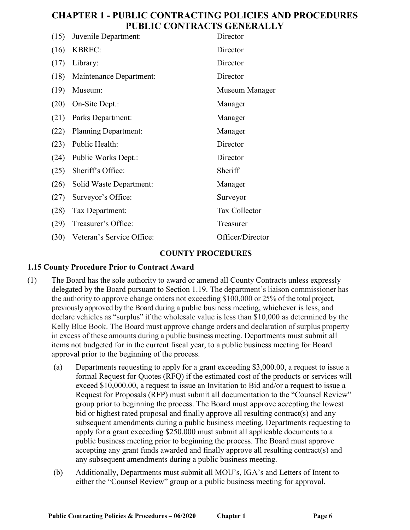| (15) | Juvenile Department:        | Director             |
|------|-----------------------------|----------------------|
| (16) | <b>KBREC:</b>               | Director             |
| (17) | Library:                    | Director             |
| (18) | Maintenance Department:     | Director             |
| (19) | Museum:                     | Museum Manager       |
| (20) | On-Site Dept.:              | Manager              |
| (21) | Parks Department:           | Manager              |
| (22) | <b>Planning Department:</b> | Manager              |
| (23) | Public Health:              | Director             |
| (24) | Public Works Dept.:         | Director             |
| (25) | Sheriff's Office:           | Sheriff              |
| (26) | Solid Waste Department:     | Manager              |
| (27) | Surveyor's Office:          | Surveyor             |
| (28) | Tax Department:             | <b>Tax Collector</b> |
| (29) | Treasurer's Office:         | Treasurer            |
| (30) | Veteran's Service Office:   | Officer/Director     |

### **COUNTY PROCEDURES**

#### **1.15 County Procedure Prior to Contract Award**

- (1) The Board has the sole authority to award or amend all County Contracts unless expressly delegated by the Board pursuant to Section 1.19. The department's liaison commissioner has the authority to approve change orders not exceeding \$100,000 or 25% of the total project, previously approved by the Board during a public business meeting, whichever is less, and declare vehicles as "surplus" if the wholesale value is less than \$10,000 as determined by the Kelly Blue Book. The Board must approve change orders and declaration of surplus property in excess of these amounts during a public business meeting. Departments must submit all items not budgeted for in the current fiscal year, to a public business meeting for Board approval prior to the beginning of the process.
	- (a) Departments requesting to apply for a grant exceeding \$3,000.00, a request to issue a formal Request for Quotes (RFQ) if the estimated cost of the products or services will exceed \$10,000.00, a request to issue an Invitation to Bid and/or a request to issue a Request for Proposals (RFP) must submit all documentation to the "Counsel Review" group prior to beginning the process. The Board must approve accepting the lowest bid or highest rated proposal and finally approve all resulting contract(s) and any subsequent amendments during a public business meeting. Departments requesting to apply for a grant exceeding \$250,000 must submit all applicable documents to a public business meeting prior to beginning the process. The Board must approve accepting any grant funds awarded and finally approve all resulting contract(s) and any subsequent amendments during a public business meeting.
	- (b) Additionally, Departments must submit all MOU's, IGA's and Letters of Intent to either the "Counsel Review" group or a public business meeting for approval.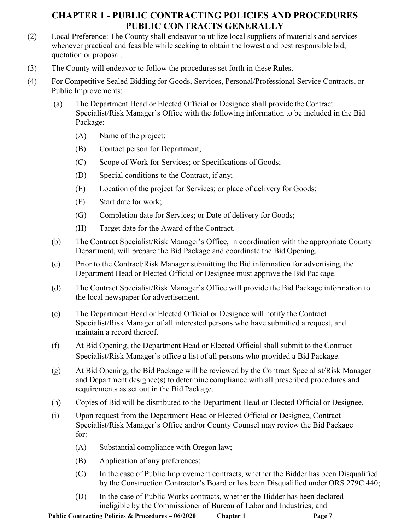- (2) Local Preference: The County shall endeavor to utilize local suppliers of materials and services whenever practical and feasible while seeking to obtain the lowest and best responsible bid, quotation or proposal.
- (3) The County will endeavor to follow the procedures set forth in these Rules.
- (4) For Competitive Sealed Bidding for Goods, Services, Personal/Professional Service Contracts, or Public Improvements:
	- (a) The Department Head or Elected Official or Designee shall provide the Contract Specialist/Risk Manager's Office with the following information to be included in the Bid Package:
		- (A) Name of the project;
		- (B) Contact person for Department;
		- (C) Scope of Work for Services; or Specifications of Goods;
		- (D) Special conditions to the Contract, if any;
		- (E) Location of the project for Services; or place of delivery for Goods;
		- (F) Start date for work;
		- (G) Completion date for Services; or Date of delivery for Goods;
		- (H) Target date for the Award of the Contract.
	- (b) The Contract Specialist/Risk Manager's Office, in coordination with the appropriate County Department, will prepare the Bid Package and coordinate the Bid Opening.
	- (c) Prior to the Contract/Risk Manager submitting the Bid information for advertising, the Department Head or Elected Official or Designee must approve the Bid Package.
	- (d) The Contract Specialist/Risk Manager's Office will provide the Bid Package information to the local newspaper for advertisement.
	- (e) The Department Head or Elected Official or Designee will notify the Contract Specialist/Risk Manager of all interested persons who have submitted a request, and maintain a record thereof.
	- (f) At Bid Opening, the Department Head or Elected Official shall submit to the Contract Specialist/Risk Manager's office a list of all persons who provided a Bid Package.
	- (g) At Bid Opening, the Bid Package will be reviewed by the Contract Specialist/Risk Manager and Department designee(s) to determine compliance with all prescribed procedures and requirements as set out in the Bid Package.
	- (h) Copies of Bid will be distributed to the Department Head or Elected Official or Designee.
	- (i) Upon request from the Department Head or Elected Official or Designee, Contract Specialist/Risk Manager's Office and/or County Counsel may review the Bid Package for:
		- (A) Substantial compliance with Oregon law;
		- (B) Application of any preferences;
		- (C) In the case of Public Improvement contracts, whether the Bidder has been Disqualified by the Construction Contractor's Board or has been Disqualified under ORS 279C.440;
		- (D) In the case of Public Works contracts, whether the Bidder has been declared ineligible by the Commissioner of Bureau of Labor and Industries; and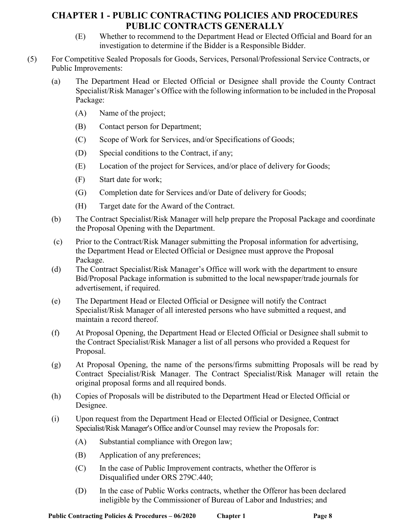- (E) Whether to recommend to the Department Head or Elected Official and Board for an investigation to determine if the Bidder is a Responsible Bidder.
- (5) For Competitive Sealed Proposals for Goods, Services, Personal/Professional Service Contracts, or Public Improvements:
	- (a) The Department Head or Elected Official or Designee shall provide the County Contract Specialist/Risk Manager's Office with the following information to be included in the Proposal Package:
		- (A) Name of the project;
		- (B) Contact person for Department;
		- (C) Scope of Work for Services, and/or Specifications of Goods;
		- (D) Special conditions to the Contract, if any;
		- (E) Location of the project for Services, and/or place of delivery for Goods;
		- (F) Start date for work;
		- (G) Completion date for Services and/or Date of delivery for Goods;
		- (H) Target date for the Award of the Contract.
	- (b) The Contract Specialist/Risk Manager will help prepare the Proposal Package and coordinate the Proposal Opening with the Department.
	- (c) Prior to the Contract/Risk Manager submitting the Proposal information for advertising, the Department Head or Elected Official or Designee must approve the Proposal Package.
	- (d) The Contract Specialist/Risk Manager's Office will work with the department to ensure Bid/Proposal Package information is submitted to the local newspaper/trade journals for advertisement, if required.
	- (e) The Department Head or Elected Official or Designee will notify the Contract Specialist/Risk Manager of all interested persons who have submitted a request, and maintain a record thereof.
	- (f) At Proposal Opening, the Department Head or Elected Official or Designee shall submit to the Contract Specialist/Risk Manager a list of all persons who provided a Request for Proposal.
	- (g) At Proposal Opening, the name of the persons/firms submitting Proposals will be read by Contract Specialist/Risk Manager. The Contract Specialist/Risk Manager will retain the original proposal forms and all required bonds.
	- (h) Copies of Proposals will be distributed to the Department Head or Elected Official or Designee.
	- (i) Upon request from the Department Head or Elected Official or Designee, Contract Specialist/Risk Manager's Office and/or Counsel may review the Proposals for:
		- (A) Substantial compliance with Oregon law;
		- (B) Application of any preferences;
		- (C) In the case of Public Improvement contracts, whether the Offeror is Disqualified under ORS 279C.440;
		- (D) In the case of Public Works contracts, whether the Offeror has been declared ineligible by the Commissioner of Bureau of Labor and Industries; and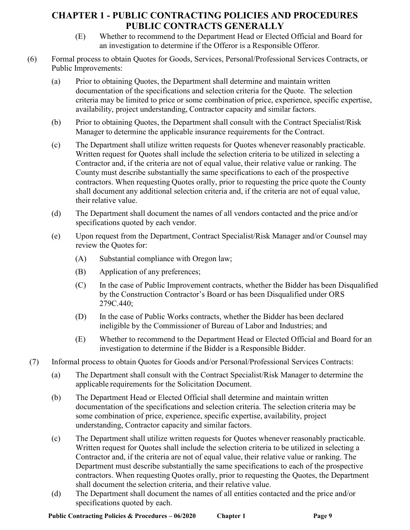- (E) Whether to recommend to the Department Head or Elected Official and Board for an investigation to determine if the Offeror is a Responsible Offeror.
- (6) Formal process to obtain Quotes for Goods, Services, Personal/Professional Services Contracts, or Public Improvements:
	- (a) Prior to obtaining Quotes, the Department shall determine and maintain written documentation of the specifications and selection criteria for the Quote. The selection criteria may be limited to price or some combination of price, experience, specific expertise, availability, project understanding, Contractor capacity and similar factors.
	- (b) Prior to obtaining Quotes, the Department shall consult with the Contract Specialist/Risk Manager to determine the applicable insurance requirements for the Contract.
	- (c) The Department shall utilize written requests for Quotes whenever reasonably practicable. Written request for Quotes shall include the selection criteria to be utilized in selecting a Contractor and, if the criteria are not of equal value, their relative value or ranking. The County must describe substantially the same specifications to each of the prospective contractors. When requesting Quotes orally, prior to requesting the price quote the County shall document any additional selection criteria and, if the criteria are not of equal value, their relative value.
	- (d) The Department shall document the names of all vendors contacted and the price and/or specifications quoted by each vendor.
	- (e) Upon request from the Department, Contract Specialist/Risk Manager and/or Counsel may review the Quotes for:
		- (A) Substantial compliance with Oregon law;
		- (B) Application of any preferences;
		- (C) In the case of Public Improvement contracts, whether the Bidder has been Disqualified by the Construction Contractor's Board or has been Disqualified under ORS 279C.440;
		- (D) In the case of Public Works contracts, whether the Bidder has been declared ineligible by the Commissioner of Bureau of Labor and Industries; and
		- (E) Whether to recommend to the Department Head or Elected Official and Board for an investigation to determine if the Bidder is a Responsible Bidder.
- (7) Informal process to obtain Quotes for Goods and/or Personal/Professional Services Contracts:
	- (a) The Department shall consult with the Contract Specialist/Risk Manager to determine the applicable requirements for the Solicitation Document.
	- (b) The Department Head or Elected Official shall determine and maintain written documentation of the specifications and selection criteria. The selection criteria may be some combination of price, experience, specific expertise, availability, project understanding, Contractor capacity and similar factors.
	- (c) The Department shall utilize written requests for Quotes whenever reasonably practicable. Written request for Quotes shall include the selection criteria to be utilized in selecting a Contractor and, if the criteria are not of equal value, their relative value or ranking. The Department must describe substantially the same specifications to each of the prospective contractors. When requesting Quotes orally, prior to requesting the Quotes, the Department shall document the selection criteria, and their relative value.
	- (d) The Department shall document the names of all entities contacted and the price and/or specifications quoted by each.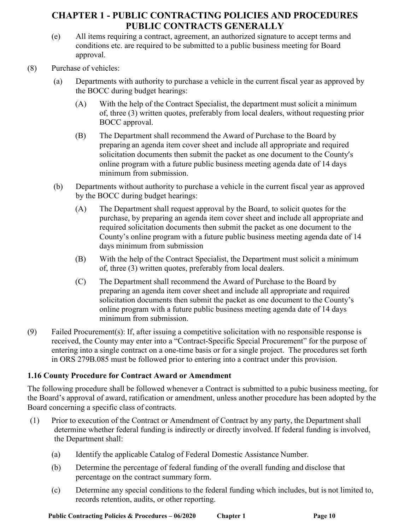- (e) All items requiring a contract, agreement, an authorized signature to accept terms and conditions etc. are required to be submitted to a public business meeting for Board approval.
- (8) Purchase of vehicles:
	- (a) Departments with authority to purchase a vehicle in the current fiscal year as approved by the BOCC during budget hearings:
		- (A) With the help of the Contract Specialist, the department must solicit a minimum of, three (3) written quotes, preferably from local dealers, without requesting prior BOCC approval.
		- (B) The Department shall recommend the Award of Purchase to the Board by preparing an agenda item cover sheet and include all appropriate and required solicitation documents then submit the packet as one document to the County's online program with a future public business meeting agenda date of 14 days minimum from submission.
	- (b) Departments without authority to purchase a vehicle in the current fiscal year as approved by the BOCC during budget hearings:
		- (A) The Department shall request approval by the Board, to solicit quotes for the purchase, by preparing an agenda item cover sheet and include all appropriate and required solicitation documents then submit the packet as one document to the County's online program with a future public business meeting agenda date of 14 days minimum from submission
		- (B) With the help of the Contract Specialist, the Department must solicit a minimum of, three (3) written quotes, preferably from local dealers.
		- (C) The Department shall recommend the Award of Purchase to the Board by preparing an agenda item cover sheet and include all appropriate and required solicitation documents then submit the packet as one document to the County's online program with a future public business meeting agenda date of 14 days minimum from submission.
- (9) Failed Procurement(s): If, after issuing a competitive solicitation with no responsible response is received, the County may enter into a "Contract-Specific Special Procurement" for the purpose of entering into a single contract on a one-time basis or for a single project. The procedures set forth in ORS 279B.085 must be followed prior to entering into a contract under this provision.

# **1.16 County Procedure for Contract Award or Amendment**

The following procedure shall be followed whenever a Contract is submitted to a pubic business meeting, for the Board's approval of award, ratification or amendment, unless another procedure has been adopted by the Board concerning a specific class of contracts.

- (1) Prior to execution of the Contract or Amendment of Contract by any party, the Department shall determine whether federal funding is indirectly or directly involved. If federal funding is involved, the Department shall:
	- (a) Identify the applicable Catalog of Federal Domestic Assistance Number.
	- (b) Determine the percentage of federal funding of the overall funding and disclose that percentage on the contract summary form.
	- (c) Determine any special conditions to the federal funding which includes, but is not limited to, records retention, audits, or other reporting.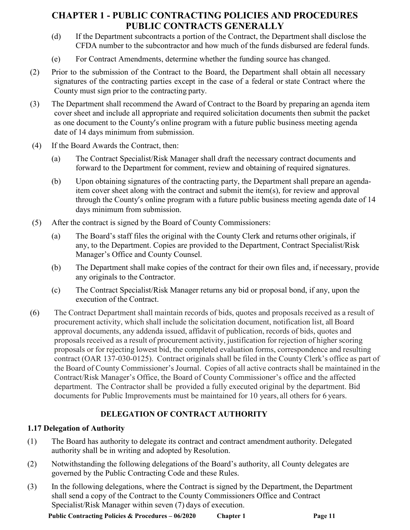- (d) If the Department subcontracts a portion of the Contract, the Department shall disclose the CFDA number to the subcontractor and how much of the funds disbursed are federal funds.
- (e) For Contract Amendments, determine whether the funding source has changed.
- (2) Prior to the submission of the Contract to the Board, the Department shall obtain all necessary signatures of the contracting parties except in the case of a federal or state Contract where the County must sign prior to the contracting party.
- (3) The Department shall recommend the Award of Contract to the Board by preparing an agenda item cover sheet and include all appropriate and required solicitation documents then submit the packet as one document to the County's online program with a future public business meeting agenda date of 14 days minimum from submission.
- (4) If the Board Awards the Contract, then:
	- (a) The Contract Specialist/Risk Manager shall draft the necessary contract documents and forward to the Department for comment, review and obtaining of required signatures.
	- (b) Upon obtaining signatures of the contracting party, the Department shall prepare an agendaitem cover sheet along with the contract and submit the item(s), for review and approval through the County's online program with a future public business meeting agenda date of 14 days minimum from submission.
- (5) After the contract is signed by the Board of County Commissioners:
	- (a) The Board's staff files the original with the County Clerk and returns other originals, if any, to the Department. Copies are provided to the Department, Contract Specialist/Risk Manager's Office and County Counsel.
	- (b) The Department shall make copies of the contract for their own files and, if necessary, provide any originals to the Contractor.
	- (c) The Contract Specialist/Risk Manager returns any bid or proposal bond, if any, upon the execution of the Contract.
- (6) The Contract Department shall maintain records of bids, quotes and proposals received as a result of procurement activity, which shall include the solicitation document, notification list, all Board approval documents, any addenda issued, affidavit of publication, records of bids, quotes and proposals received as a result of procurement activity, justification for rejection of higher scoring proposals or for rejecting lowest bid, the completed evaluation forms, correspondence and resulting contract (OAR 137-030-0125). Contract originals shall be filed in the County Clerk's office as part of the Board of County Commissioner's Journal. Copies of all active contracts shall be maintained in the Contract/Risk Manager's Office, the Board of County Commissioner's office and the affected department. The Contractor shall be provided a fully executed original by the department. Bid documents for Public Improvements must be maintained for 10 years, all others for 6 years.

# **DELEGATION OF CONTRACT AUTHORITY**

# **1.17 Delegation of Authority**

- (1) The Board has authority to delegate its contract and contract amendment authority. Delegated authority shall be in writing and adopted by Resolution.
- (2) Notwithstanding the following delegations of the Board's authority, all County delegates are governed by the Public Contracting Code and these Rules.
- (3) In the following delegations, where the Contract is signed by the Department, the Department shall send a copy of the Contract to the County Commissioners Office and Contract Specialist/Risk Manager within seven (7) days of execution.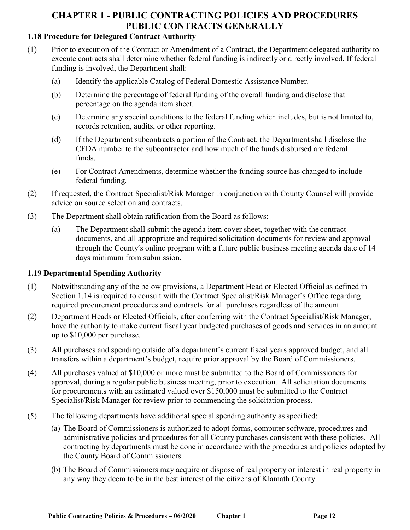# **1.18 Procedure for Delegated Contract Authority**

- (1) Prior to execution of the Contract or Amendment of a Contract, the Department delegated authority to execute contracts shall determine whether federal funding is indirectly or directly involved. If federal funding is involved, the Department shall:
	- (a) Identify the applicable Catalog of Federal Domestic Assistance Number.
	- (b) Determine the percentage of federal funding of the overall funding and disclose that percentage on the agenda item sheet.
	- (c) Determine any special conditions to the federal funding which includes, but is not limited to, records retention, audits, or other reporting.
	- (d) If the Department subcontracts a portion of the Contract, the Department shall disclose the CFDA number to the subcontractor and how much of the funds disbursed are federal funds.
	- (e) For Contract Amendments, determine whether the funding source has changed to include federal funding.
- (2) If requested, the Contract Specialist/Risk Manager in conjunction with County Counsel will provide advice on source selection and contracts.
- (3) The Department shall obtain ratification from the Board as follows:
	- (a) The Department shall submit the agenda item cover sheet, together with the contract documents, and all appropriate and required solicitation documents for review and approval through the County's online program with a future public business meeting agenda date of 14 days minimum from submission.

### **1.19 Departmental Spending Authority**

- (1) Notwithstanding any of the below provisions, a Department Head or Elected Official as defined in Section 1.14 is required to consult with the Contract Specialist/Risk Manager's Office regarding required procurement procedures and contracts for all purchases regardless of the amount.
- (2) Department Heads or Elected Officials, after conferring with the Contract Specialist/Risk Manager, have the authority to make current fiscal year budgeted purchases of goods and services in an amount up to \$10,000 per purchase.
- (3) All purchases and spending outside of a department's current fiscal years approved budget, and all transfers within a department's budget, require prior approval by the Board of Commissioners.
- (4) All purchases valued at \$10,000 or more must be submitted to the Board of Commissioners for approval, during a regular public business meeting, prior to execution. All solicitation documents for procurements with an estimated valued over \$150,000 must be submitted to the Contract Specialist/Risk Manager for review prior to commencing the solicitation process.
- (5) The following departments have additional special spending authority as specified:
	- (a) The Board of Commissioners is authorized to adopt forms, computer software, procedures and administrative policies and procedures for all County purchases consistent with these policies. All contracting by departments must be done in accordance with the procedures and policies adopted by the County Board of Commissioners.
	- (b) The Board of Commissioners may acquire or dispose of real property or interest in real property in any way they deem to be in the best interest of the citizens of Klamath County.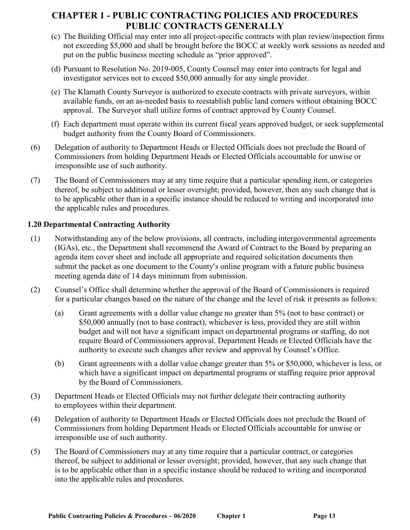- (c) The Building Official may enter into all project-specific contracts with plan review/inspection firms not exceeding \$5,000 and shall be brought before the BOCC at weekly work sessions as needed and put on the public business meeting schedule as "prior approved".
- (d) Pursuant to Resolution No. 2019-005, County Counsel may enter into contracts for legal and investigator services not to exceed \$50,000 annually for any single provider.
- (e) The Klamath County Surveyor is authorized to execute contracts with private surveyors, within available funds, on an as-needed basis to reestablish public land corners without obtaining BOCC approval. The Surveyor shall utilize forms of contract approved by County Counsel.
- (f) Each department must operate within its current fiscal years approved budget, or seek supplemental budget authority from the County Board of Commissioners.
- (6) Delegation of authority to Department Heads or Elected Officials does not preclude the Board of Commissioners from holding Department Heads or Elected Officials accountable for unwise or irresponsible use of such authority.
- (7) The Board of Commissioners may at any time require that a particular spending item, or categories thereof, be subject to additional or lesser oversight; provided, however, then any such change that is to be applicable other than in a specific instance should be reduced to writing and incorporated into the applicable rules and procedures.

## **1.20 Departmental Contracting Authority**

- (1) Notwithstanding any of the below provisions, all contracts, including intergovernmental agreements (IGAs), etc., the Department shall recommend the Award of Contract to the Board by preparing an agenda item cover sheet and include all appropriate and required solicitation documents then submit the packet as one document to the County's online program with a future public business meeting agenda date of 14 days minimum from submission.
- (2) Counsel's Office shall determine whether the approval of the Board of Commissioners is required for a particular changes based on the nature of the change and the level of risk it presents as follows:
	- (a) Grant agreements with a dollar value change no greater than 5% (not to base contract) or \$50,000 annually (not to base contract), whichever is less, provided they are still within budget and will not have a significant impact on departmental programs or staffing, do not require Board of Commissioners approval. Department Heads or Elected Officials have the authority to execute such changes after review and approval by Counsel's Office.
	- (b) Grant agreements with a dollar value change greater than 5% or \$50,000, whichever is less, or which have a significant impact on departmental programs or staffing require prior approval by the Board of Commissioners.
- (3) Department Heads or Elected Officials may not further delegate their contracting authority to employees within their department.
- (4) Delegation of authority to Department Heads or Elected Officials does not preclude the Board of Commissioners from holding Department Heads or Elected Officials accountable for unwise or irresponsible use of such authority.
- (5) The Board of Commissioners may at any time require that a particular contract, or categories thereof, be subject to additional or lesser oversight; provided, however, that any such change that is to be applicable other than in a specific instance should be reduced to writing and incorporated into the applicable rules and procedures.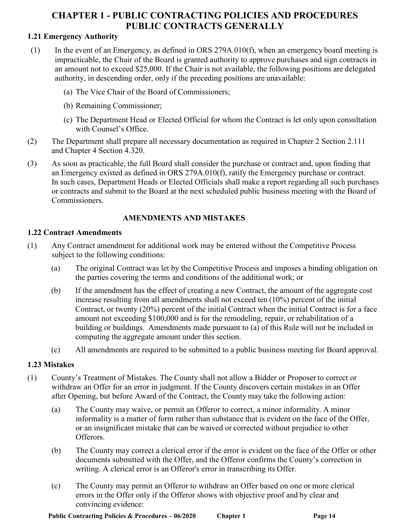## **1.21 Emergency Authority**

- (1) In the event of an Emergency, as defined in ORS 279A.010(f), when an emergency board meeting is impracticable, the Chair of the Board is granted authority to approve purchases and sign contracts in an amount not to exceed \$25,000. If the Chair is not available, the following positions are delegated authority, in descending order, only if the preceding positions are unavailable:
	- (a) The Vice Chair of the Board of Commissioners;
	- (b) Remaining Commissioner;
	- (c) The Department Head or Elected Official for whom the Contract is let only upon consultation with Counsel's Office.
- (2) The Department shall prepare all necessary documentation as required in Chapter 2 Section 2.111 and Chapter 4 Section 4.320.
- (3) As soon as practicable, the full Board shall consider the purchase or contract and, upon finding that an Emergency existed as defined in ORS 279A.010(f), ratify the Emergency purchase or contract. In such cases, Department Heads or Elected Officials shall make a report regarding all such purchases or contracts and submit to the Board at the next scheduled public business meeting with the Board of Commissioners.

# **AMENDMENTS AND MISTAKES**

### **1.22 Contract Amendments**

- (1) Any Contract amendment for additional work may be entered without the Competitive Process subject to the following conditions:
	- (a) The original Contract was let by the Competitive Process and imposes a binding obligation on the parties covering the terms and conditions of the additional work; or
	- (b) If the amendment has the effect of creating a new Contract, the amount of the aggregate cost increase resulting from all amendments shall not exceed ten (10%) percent of the initial Contract, or twenty (20%) percent of the initial Contract when the initial Contract is for a face amount not exceeding \$100,000 and is for the remodeling, repair, or rehabilitation of a building or buildings. Amendments made pursuant to (a) of this Rule will not be included in computing the aggregate amount under this section.
	- (c) All amendments are required to be submitted to a public business meeting for Board approval.

### **1.23 Mistakes**

- (1) County's Treatment of Mistakes. The County shall not allow a Bidder or Proposer to correct or withdraw an Offer for an error in judgment. If the County discovers certain mistakes in an Offer after Opening, but before Award of the Contract, the County may take the following action:
	- (a) The County may waive, or permit an Offeror to correct, a minor informality. A minor informality is a matter of form rather than substance that is evident on the face of the Offer, or an insignificant mistake that can be waived or corrected without prejudice to other Offerors.
	- (b) The County may correct a clerical error if the error is evident on the face of the Offer or other documents submitted with the Offer, and the Offeror confirms the County's correction in writing. A clerical error is an Offeror's error in transcribing its Offer.
	- (c) The County may permit an Offeror to withdraw an Offer based on one or more clerical errors in the Offer only if the Offeror shows with objective proof and by clear and convincing evidence: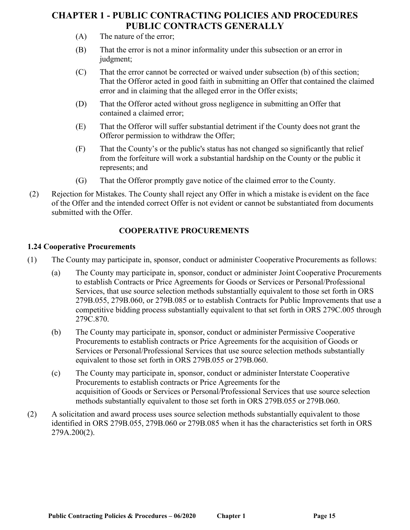- (A) The nature of the error;
- (B) That the error is not a minor informality under this subsection or an error in judgment;
- (C) That the error cannot be corrected or waived under subsection (b) of this section; That the Offeror acted in good faith in submitting an Offer that contained the claimed error and in claiming that the alleged error in the Offer exists;
- (D) That the Offeror acted without gross negligence in submitting an Offer that contained a claimed error;
- (E) That the Offeror will suffer substantial detriment if the County does not grant the Offeror permission to withdraw the Offer;
- (F) That the County's or the public's status has not changed so significantly that relief from the forfeiture will work a substantial hardship on the County or the public it represents; and
- (G) That the Offeror promptly gave notice of the claimed error to the County.
- (2) Rejection for Mistakes. The County shall reject any Offer in which a mistake is evident on the face of the Offer and the intended correct Offer is not evident or cannot be substantiated from documents submitted with the Offer.

# **COOPERATIVE PROCUREMENTS**

### **1.24 Cooperative Procurements**

- (1) The County may participate in, sponsor, conduct or administer Cooperative Procurements as follows:
	- (a) The County may participate in, sponsor, conduct or administer Joint Cooperative Procurements to establish Contracts or Price Agreements for Goods or Services or Personal/Professional Services, that use source selection methods substantially equivalent to those set forth in ORS 279B.055, 279B.060, or 279B.085 or to establish Contracts for Public Improvements that use a competitive bidding process substantially equivalent to that set forth in ORS 279C.005 through 279C.870.
	- (b) The County may participate in, sponsor, conduct or administer Permissive Cooperative Procurements to establish contracts or Price Agreements for the acquisition of Goods or Services or Personal/Professional Services that use source selection methods substantially equivalent to those set forth in ORS 279B.055 or 279B.060.
	- (c) The County may participate in, sponsor, conduct or administer Interstate Cooperative Procurements to establish contracts or Price Agreements for the acquisition of Goods or Services or Personal/Professional Services that use source selection methods substantially equivalent to those set forth in ORS 279B.055 or 279B.060.
- (2) A solicitation and award process uses source selection methods substantially equivalent to those identified in ORS 279B.055, 279B.060 or 279B.085 when it has the characteristics set forth in ORS 279A.200(2).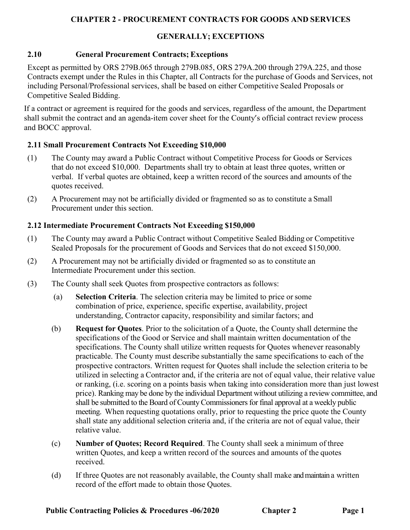## **GENERALLY; EXCEPTIONS**

## **2.10 General Procurement Contracts; Exceptions**

Except as permitted by ORS 279B.065 through 279B.085, ORS 279A.200 through 279A.225, and those Contracts exempt under the Rules in this Chapter, all Contracts for the purchase of Goods and Services, not including Personal/Professional services, shall be based on either Competitive Sealed Proposals or Competitive Sealed Bidding.

If a contract or agreement is required for the goods and services, regardless of the amount, the Department shall submit the contract and an agenda-item cover sheet for the County's official contract review process and BOCC approval.

## **2.11 Small Procurement Contracts Not Exceeding \$10,000**

- (1) The County may award a Public Contract without Competitive Process for Goods or Services that do not exceed \$10,000. Departments shall try to obtain at least three quotes, written or verbal. If verbal quotes are obtained, keep a written record of the sources and amounts of the quotes received.
- (2) A Procurement may not be artificially divided or fragmented so as to constitute a Small Procurement under this section.

## **2.12 Intermediate Procurement Contracts Not Exceeding \$150,000**

- (1) The County may award a Public Contract without Competitive Sealed Bidding or Competitive Sealed Proposals for the procurement of Goods and Services that do not exceed \$150,000.
- (2) A Procurement may not be artificially divided or fragmented so as to constitute an Intermediate Procurement under this section.
- (3) The County shall seek Quotes from prospective contractors as follows:
	- (a) **Selection Criteria**. The selection criteria may be limited to price or some combination of price, experience, specific expertise, availability, project understanding, Contractor capacity, responsibility and similar factors; and
	- (b) **Request for Quotes**. Prior to the solicitation of a Quote, the County shall determine the specifications of the Good or Service and shall maintain written documentation of the specifications. The County shall utilize written requests for Quotes whenever reasonably practicable. The County must describe substantially the same specifications to each of the prospective contractors. Written request for Quotes shall include the selection criteria to be utilized in selecting a Contractor and, if the criteria are not of equal value, their relative value or ranking, (i.e. scoring on a points basis when taking into consideration more than just lowest price). Ranking may be done by the individual Department without utilizing a review committee, and shall be submitted to the Board of County Commissioners for final approval at a weekly public meeting. When requesting quotations orally, prior to requesting the price quote the County shall state any additional selection criteria and, if the criteria are not of equal value, their relative value.
	- (c) **Number of Quotes; Record Required**. The County shall seek a minimum of three written Quotes, and keep a written record of the sources and amounts of the quotes received.
	- (d) If three Quotes are not reasonably available, the County shall make and maintain a written record of the effort made to obtain those Quotes.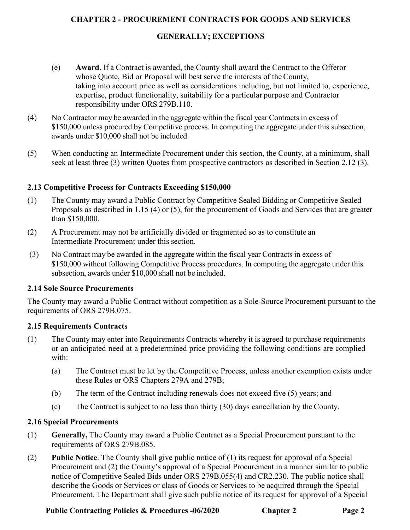## **GENERALLY; EXCEPTIONS**

- (e) **Award**. If a Contract is awarded, the County shall award the Contract to the Offeror whose Quote, Bid or Proposal will best serve the interests of the County, taking into account price as well as considerations including, but not limited to, experience, expertise, product functionality, suitability for a particular purpose and Contractor responsibility under ORS 279B.110.
- (4) No Contractor may be awarded in the aggregate within the fiscal year Contracts in excess of \$150,000 unless procured by Competitive process. In computing the aggregate under this subsection, awards under \$10,000 shall not be included.
- (5) When conducting an Intermediate Procurement under this section, the County, at a minimum, shall seek at least three (3) written Quotes from prospective contractors as described in Section 2.12 (3).

## **2.13 Competitive Process for Contracts Exceeding \$150,000**

- (1) The County may award a Public Contract by Competitive Sealed Bidding or Competitive Sealed Proposals as described in 1.15 (4) or (5), for the procurement of Goods and Services that are greater than \$150,000.
- (2) A Procurement may not be artificially divided or fragmented so as to constitute an Intermediate Procurement under this section.
- (3) No Contract may be awarded in the aggregate within the fiscal year Contracts in excess of \$150,000 without following Competitive Process procedures. In computing the aggregate under this subsection, awards under \$10,000 shall not be included.

### **2.14 Sole Source Procurements**

The County may award a Public Contract without competition as a Sole-Source Procurement pursuant to the requirements of ORS 279B.075.

# **2.15 Requirements Contracts**

- (1) The County may enter into Requirements Contracts whereby it is agreed to purchase requirements or an anticipated need at a predetermined price providing the following conditions are complied with:
	- (a) The Contract must be let by the Competitive Process, unless another exemption exists under these Rules or ORS Chapters 279A and 279B;
	- (b) The term of the Contract including renewals does not exceed five (5) years; and
	- (c) The Contract is subject to no less than thirty (30) days cancellation by the County.

### **2.16 Special Procurements**

- (1) **Generally,** The County may award a Public Contract as a Special Procurement pursuant to the requirements of ORS 279B.085.
- (2) **Public Notice**. The County shall give public notice of (1) its request for approval of a Special Procurement and (2) the County's approval of a Special Procurement in a manner similar to public notice of Competitive Sealed Bids under ORS 279B.055(4) and CR2.230. The public notice shall describe the Goods or Services or class of Goods or Services to be acquired through the Special Procurement. The Department shall give such public notice of its request for approval of a Special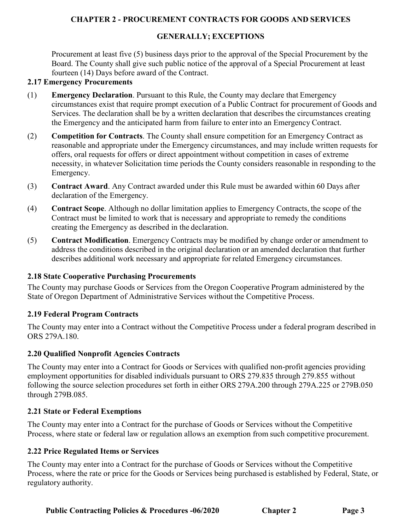## **GENERALLY; EXCEPTIONS**

Procurement at least five (5) business days prior to the approval of the Special Procurement by the Board. The County shall give such public notice of the approval of a Special Procurement at least fourteen (14) Days before award of the Contract.

#### **2.17 Emergency Procurements**

- (1) **Emergency Declaration**. Pursuant to this Rule, the County may declare that Emergency circumstances exist that require prompt execution of a Public Contract for procurement of Goods and Services. The declaration shall be by a written declaration that describes the circumstances creating the Emergency and the anticipated harm from failure to enter into an Emergency Contract.
- (2) **Competition for Contracts**. The County shall ensure competition for an Emergency Contract as reasonable and appropriate under the Emergency circumstances, and may include written requests for offers, oral requests for offers or direct appointment without competition in cases of extreme necessity, in whatever Solicitation time periods the County considers reasonable in responding to the Emergency.
- (3) **Contract Award**. Any Contract awarded under this Rule must be awarded within 60 Days after declaration of the Emergency.
- (4) **Contract Scope**. Although no dollar limitation applies to Emergency Contracts, the scope of the Contract must be limited to work that is necessary and appropriate to remedy the conditions creating the Emergency as described in the declaration.
- (5) **Contract Modification**. Emergency Contracts may be modified by change order or amendment to address the conditions described in the original declaration or an amended declaration that further describes additional work necessary and appropriate for related Emergency circumstances.

### **2.18 State Cooperative Purchasing Procurements**

The County may purchase Goods or Services from the Oregon Cooperative Program administered by the State of Oregon Department of Administrative Services without the Competitive Process.

### **2.19 Federal Program Contracts**

The County may enter into a Contract without the Competitive Process under a federal program described in ORS 279A.180.

### **2.20 Qualified Nonprofit Agencies Contracts**

The County may enter into a Contract for Goods or Services with qualified non-profit agencies providing employment opportunities for disabled individuals pursuant to ORS 279.835 through 279.855 without following the source selection procedures set forth in either ORS 279A.200 through 279A.225 or 279B.050 through 279B.085.

### **2.21 State or Federal Exemptions**

The County may enter into a Contract for the purchase of Goods or Services without the Competitive Process, where state or federal law or regulation allows an exemption from such competitive procurement.

### **2.22 Price Regulated Items or Services**

The County may enter into a Contract for the purchase of Goods or Services without the Competitive Process, where the rate or price for the Goods or Services being purchased is established by Federal, State, or regulatory authority.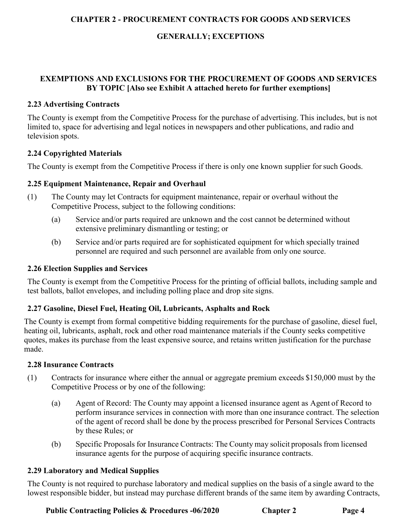# **GENERALLY; EXCEPTIONS**

# **EXEMPTIONS AND EXCLUSIONS FOR THE PROCUREMENT OF GOODS AND SERVICES BY TOPIC [Also see Exhibit A attached hereto for further exemptions]**

### **2.23 Advertising Contracts**

The County is exempt from the Competitive Process for the purchase of advertising. This includes, but is not limited to, space for advertising and legal notices in newspapers and other publications, and radio and television spots.

## **2.24 Copyrighted Materials**

The County is exempt from the Competitive Process if there is only one known supplier for such Goods.

## **2.25 Equipment Maintenance, Repair and Overhaul**

- (1) The County may let Contracts for equipment maintenance, repair or overhaul without the Competitive Process, subject to the following conditions:
	- (a) Service and/or parts required are unknown and the cost cannot be determined without extensive preliminary dismantling or testing; or
	- (b) Service and/or parts required are for sophisticated equipment for which specially trained personnel are required and such personnel are available from only one source.

## **2.26 Election Supplies and Services**

The County is exempt from the Competitive Process for the printing of official ballots, including sample and test ballots, ballot envelopes, and including polling place and drop site signs.

# **2.27 Gasoline, Diesel Fuel, Heating Oil, Lubricants, Asphalts and Rock**

The County is exempt from formal competitive bidding requirements for the purchase of gasoline, diesel fuel, heating oil, lubricants, asphalt, rock and other road maintenance materials if the County seeks competitive quotes, makes its purchase from the least expensive source, and retains written justification for the purchase made.

### **2.28 Insurance Contracts**

- (1) Contracts for insurance where either the annual or aggregate premium exceeds \$150,000 must by the Competitive Process or by one of the following:
	- (a) Agent of Record: The County may appoint a licensed insurance agent as Agent of Record to perform insurance services in connection with more than one insurance contract. The selection of the agent of record shall be done by the process prescribed for Personal Services Contracts by these Rules; or
	- (b) Specific Proposals for Insurance Contracts: The County may solicit proposals from licensed insurance agents for the purpose of acquiring specific insurance contracts.

### **2.29 Laboratory and Medical Supplies**

The County is not required to purchase laboratory and medical supplies on the basis of a single award to the lowest responsible bidder, but instead may purchase different brands of the same item by awarding Contracts,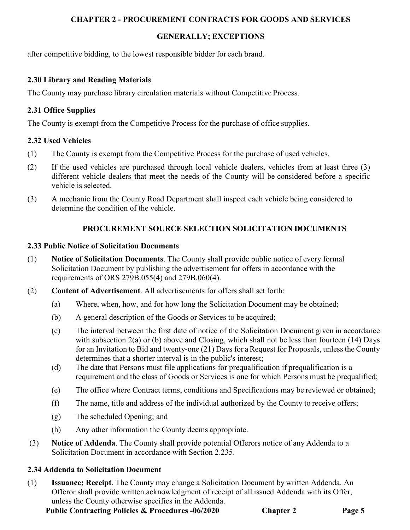# **GENERALLY; EXCEPTIONS**

after competitive bidding, to the lowest responsible bidder for each brand.

# **2.30 Library and Reading Materials**

The County may purchase library circulation materials without Competitive Process.

# **2.31 Office Supplies**

The County is exempt from the Competitive Process for the purchase of office supplies.

# **2.32 Used Vehicles**

- (1) The County is exempt from the Competitive Process for the purchase of used vehicles.
- (2) If the used vehicles are purchased through local vehicle dealers, vehicles from at least three (3) different vehicle dealers that meet the needs of the County will be considered before a specific vehicle is selected.
- (3) A mechanic from the County Road Department shall inspect each vehicle being considered to determine the condition of the vehicle.

# **PROCUREMENT SOURCE SELECTION SOLICITATION DOCUMENTS**

# **2.33 Public Notice of Solicitation Documents**

- (1) **Notice of Solicitation Documents**. The County shall provide public notice of every formal Solicitation Document by publishing the advertisement for offers in accordance with the requirements of ORS 279B.055(4) and 279B.060(4).
- (2) **Content of Advertisement**. All advertisements for offers shall set forth:
	- (a) Where, when, how, and for how long the Solicitation Document may be obtained;
	- (b) A general description of the Goods or Services to be acquired;
	- (c) The interval between the first date of notice of the Solicitation Document given in accordance with subsection 2(a) or (b) above and Closing, which shall not be less than fourteen (14) Days for an Invitation to Bid and twenty-one (21) Days for aRequest for Proposals, unless the County determines that a shorter interval is in the public's interest;
	- (d) The date that Persons must file applications for prequalification if prequalification is a requirement and the class of Goods or Services is one for which Persons must be prequalified;
	- (e) The office where Contract terms, conditions and Specifications may be reviewed or obtained;
	- (f) The name, title and address of the individual authorized by the County to receive offers;
	- (g) The scheduled Opening; and
	- (h) Any other information the County deems appropriate.
- (3) **Notice of Addenda**. The County shall provide potential Offerors notice of any Addenda to a Solicitation Document in accordance with Section 2.235.

# **2.34 Addenda to Solicitation Document**

(1) **Issuance; Receipt**. The County may change a Solicitation Document by written Addenda. An Offeror shall provide written acknowledgment of receipt of all issued Addenda with its Offer, unless the County otherwise specifies in the Addenda.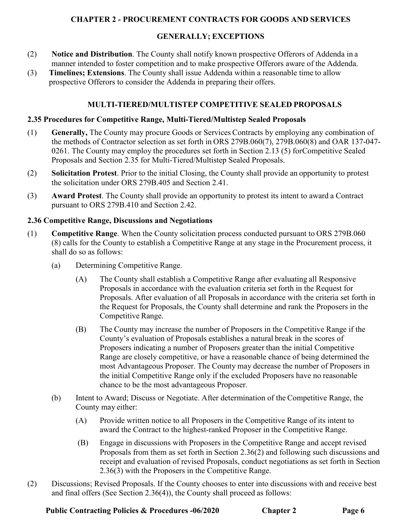## **GENERALLY; EXCEPTIONS**

- (2) **Notice and Distribution**. The County shall notify known prospective Offerors of Addenda in a manner intended to foster competition and to make prospective Offerors aware of the Addenda.
- (3) **Timelines; Extensions**. The County shall issue Addenda within a reasonable time to allow prospective Offerors to consider the Addenda in preparing their offers.

# **MULTI-TIERED/MULTISTEP COMPETITIVE SEALED PROPOSALS**

#### **2.35 Procedures for Competitive Range, Multi-Tiered/Multistep Sealed Proposals**

- (1) **Generally,** The County may procure Goods or Services Contracts by employing any combination of the methods of Contractor selection as set forth in ORS 279B.060(7), 279B.060(8) and OAR 137-047- 0261. The County may employ the procedures set forth in Section 2.13 (5) for Competitive Sealed Proposals and Section 2.35 for Multi-Tiered/Multistep Sealed Proposals.
- (2) **Solicitation Protest**. Prior to the initial Closing, the County shall provide an opportunity to protest the solicitation under ORS 279B.405 and Section 2.41.
- (3) **Award Protest**. The County shall provide an opportunity to protest its intent to award a Contract pursuant to ORS 279B.410 and Section 2.42.

#### **2.36 Competitive Range, Discussions and Negotiations**

- (1) **Competitive Range**. When the County solicitation process conducted pursuant to ORS 279B.060 (8) calls for the County to establish a Competitive Range at any stage in the Procurement process, it shall do so as follows:
	- (a) Determining Competitive Range.
		- (A) The County shall establish a Competitive Range after evaluating all Responsive Proposals in accordance with the evaluation criteria set forth in the Request for Proposals. After evaluation of all Proposals in accordance with the criteria set forth in the Request for Proposals, the County shall determine and rank the Proposers in the Competitive Range.
		- (B) The County may increase the number of Proposers in the Competitive Range if the County's evaluation of Proposals establishes a natural break in the scores of Proposers indicating a number of Proposers greater than the initial Competitive Range are closely competitive, or have a reasonable chance of being determined the most Advantageous Proposer. The County may decrease the number of Proposers in the initial Competitive Range only if the excluded Proposers have no reasonable chance to be the most advantageous Proposer.
	- (b) Intent to Award; Discuss or Negotiate. After determination of the Competitive Range, the County may either:
		- (A) Provide written notice to all Proposers in the Competitive Range of its intent to award the Contract to the highest-ranked Proposer in the Competitive Range.
		- (B) Engage in discussions with Proposers in the Competitive Range and accept revised Proposals from them as set forth in Section 2.36(2) and following such discussions and receipt and evaluation of revised Proposals, conduct negotiations as set forth in Section 2.36(3) with the Proposers in the Competitive Range.
- (2) Discussions; Revised Proposals. If the County chooses to enter into discussions with and receive best and final offers (See Section 2.36(4)), the County shall proceed as follows: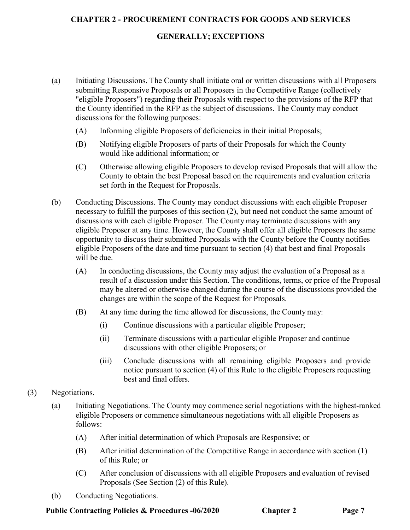### **GENERALLY; EXCEPTIONS**

- (a) Initiating Discussions. The County shall initiate oral or written discussions with all Proposers submitting Responsive Proposals or all Proposers in the Competitive Range (collectively "eligible Proposers") regarding their Proposals with respect to the provisions of the RFP that the County identified in the RFP as the subject of discussions. The County may conduct discussions for the following purposes:
	- (A) Informing eligible Proposers of deficiencies in their initial Proposals;
	- (B) Notifying eligible Proposers of parts of their Proposals for which the County would like additional information; or
	- (C) Otherwise allowing eligible Proposers to develop revised Proposals that will allow the County to obtain the best Proposal based on the requirements and evaluation criteria set forth in the Request for Proposals.
- (b) Conducting Discussions. The County may conduct discussions with each eligible Proposer necessary to fulfill the purposes of this section (2), but need not conduct the same amount of discussions with each eligible Proposer. The County may terminate discussions with any eligible Proposer at any time. However, the County shall offer all eligible Proposers the same opportunity to discusstheir submitted Proposals with the County before the County notifies eligible Proposers of the date and time pursuant to section (4) that best and final Proposals will be due.
	- (A) In conducting discussions, the County may adjust the evaluation of a Proposal as a result of a discussion under this Section. The conditions, terms, or price of the Proposal may be altered or otherwise changed during the course of the discussions provided the changes are within the scope of the Request for Proposals.
	- (B) At any time during the time allowed for discussions, the County may:
		- (i) Continue discussions with a particular eligible Proposer;
		- (ii) Terminate discussions with a particular eligible Proposer and continue discussions with other eligible Proposers; or
		- (iii) Conclude discussions with all remaining eligible Proposers and provide notice pursuant to section (4) of this Rule to the eligible Proposers requesting best and final offers.
- (3) Negotiations.
	- (a) Initiating Negotiations. The County may commence serial negotiations with the highest-ranked eligible Proposers or commence simultaneous negotiations with all eligible Proposers as follows:
		- (A) After initial determination of which Proposals are Responsive; or
		- (B) After initial determination of the Competitive Range in accordance with section (1) of this Rule; or
		- (C) After conclusion of discussions with all eligible Proposers and evaluation of revised Proposals (See Section (2) of this Rule).
	- (b) Conducting Negotiations.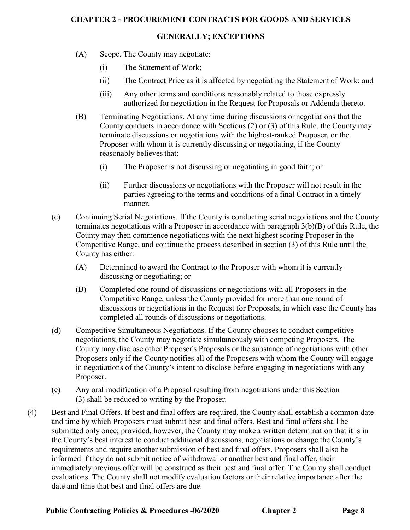# **GENERALLY; EXCEPTIONS**

- (A) Scope. The County may negotiate:
	- (i) The Statement of Work;
	- (ii) The Contract Price as it is affected by negotiating the Statement of Work; and
	- (iii) Any other terms and conditions reasonably related to those expressly authorized for negotiation in the Request for Proposals or Addenda thereto.
- (B) Terminating Negotiations. At any time during discussions or negotiations that the County conducts in accordance with Sections (2) or (3) of this Rule, the County may terminate discussions or negotiations with the highest-ranked Proposer, or the Proposer with whom it is currently discussing or negotiating, if the County reasonably believes that:
	- (i) The Proposer is not discussing or negotiating in good faith; or
	- (ii) Further discussions or negotiations with the Proposer will not result in the parties agreeing to the terms and conditions of a final Contract in a timely manner.
- (c) Continuing Serial Negotiations. If the County is conducting serial negotiations and the County terminates negotiations with a Proposer in accordance with paragraph 3(b)(B) of this Rule, the County may then commence negotiations with the next highest scoring Proposer in the Competitive Range, and continue the process described in section (3) of this Rule until the County has either:
	- (A) Determined to award the Contract to the Proposer with whom it is currently discussing or negotiating; or
	- (B) Completed one round of discussions or negotiations with all Proposers in the Competitive Range, unless the County provided for more than one round of discussions or negotiations in the Request for Proposals, in which case the County has completed all rounds of discussions or negotiations.
- (d) Competitive Simultaneous Negotiations. If the County chooses to conduct competitive negotiations, the County may negotiate simultaneously with competing Proposers. The County may disclose other Proposer's Proposals or the substance of negotiations with other Proposers only if the County notifies all of the Proposers with whom the County will engage in negotiations of the County's intent to disclose before engaging in negotiations with any Proposer.
- (e) Any oral modification of a Proposal resulting from negotiations under this Section (3) shall be reduced to writing by the Proposer.
- (4) Best and Final Offers. If best and final offers are required, the County shall establish a common date and time by which Proposers must submit best and final offers. Best and final offers shall be submitted only once; provided, however, the County may make a written determination that it is in the County's best interest to conduct additional discussions, negotiations or change the County's requirements and require another submission of best and final offers. Proposers shall also be informed if they do not submit notice of withdrawal or another best and final offer, their immediately previous offer will be construed as their best and final offer. The County shall conduct evaluations. The County shall not modify evaluation factors or their relative importance after the date and time that best and final offers are due.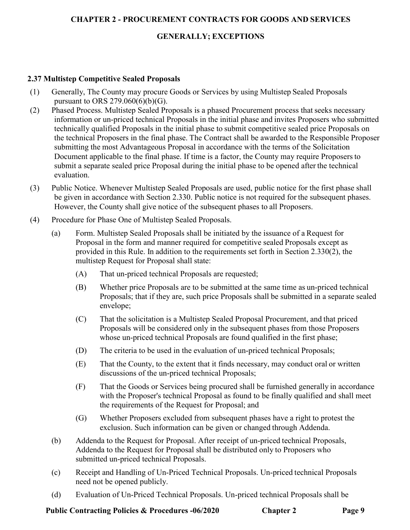# **GENERALLY; EXCEPTIONS**

## **2.37 Multistep Competitive Sealed Proposals**

- (1) Generally, The County may procure Goods or Services by using Multistep Sealed Proposals pursuant to ORS 279.060(6)(b)(G).
- (2) Phased Process. Multistep Sealed Proposals is a phased Procurement process that seeks necessary information or un-priced technical Proposals in the initial phase and invites Proposers who submitted technically qualified Proposals in the initial phase to submit competitive sealed price Proposals on the technical Proposers in the final phase. The Contract shall be awarded to the Responsible Proposer submitting the most Advantageous Proposal in accordance with the terms of the Solicitation Document applicable to the final phase. If time is a factor, the County may require Proposersto submit a separate sealed price Proposal during the initial phase to be opened after the technical evaluation.
- (3) Public Notice. Whenever Multistep Sealed Proposals are used, public notice for the first phase shall be given in accordance with Section 2.330. Public notice is not required for the subsequent phases. However, the County shall give notice of the subsequent phases to all Proposers.
- (4) Procedure for Phase One of Multistep Sealed Proposals.
	- (a) Form. Multistep Sealed Proposals shall be initiated by the issuance of a Request for Proposal in the form and manner required for competitive sealed Proposals except as provided in this Rule. In addition to the requirements set forth in Section 2.330(2), the multistep Request for Proposal shall state:
		- (A) That un-priced technical Proposals are requested;
		- (B) Whether price Proposals are to be submitted at the same time as un-priced technical Proposals; that if they are, such price Proposals shall be submitted in a separate sealed envelope;
		- (C) That the solicitation is a Multistep Sealed Proposal Procurement, and that priced Proposals will be considered only in the subsequent phases from those Proposers whose un-priced technical Proposals are found qualified in the first phase;
		- (D) The criteria to be used in the evaluation of un-priced technical Proposals;
		- (E) That the County, to the extent that it finds necessary, may conduct oral or written discussions of the un-priced technical Proposals;
		- (F) That the Goods or Services being procured shall be furnished generally in accordance with the Proposer's technical Proposal as found to be finally qualified and shall meet the requirements of the Request for Proposal; and
		- (G) Whether Proposers excluded from subsequent phases have a right to protest the exclusion. Such information can be given or changed through Addenda.
	- (b) Addenda to the Request for Proposal. After receipt of un-priced technical Proposals, Addenda to the Request for Proposal shall be distributed only to Proposers who submitted un-priced technical Proposals.
	- (c) Receipt and Handling of Un-Priced Technical Proposals. Un-priced technical Proposals need not be opened publicly.
	- (d) Evaluation of Un-Priced Technical Proposals. Un-priced technical Proposals shall be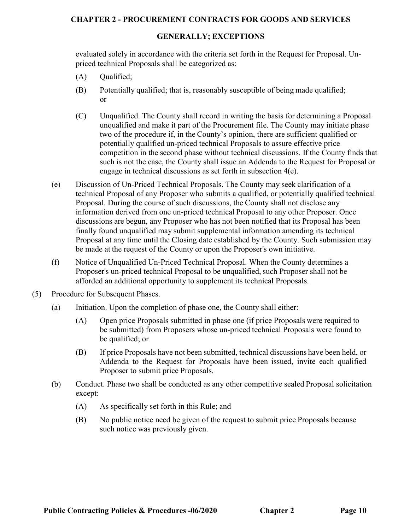#### **GENERALLY; EXCEPTIONS**

evaluated solely in accordance with the criteria set forth in the Request for Proposal. Unpriced technical Proposals shall be categorized as:

- (A) Qualified;
- (B) Potentially qualified; that is, reasonably susceptible of being made qualified; or
- (C) Unqualified. The County shall record in writing the basis for determining a Proposal unqualified and make it part of the Procurement file. The County may initiate phase two of the procedure if, in the County's opinion, there are sufficient qualified or potentially qualified un-priced technical Proposals to assure effective price competition in the second phase without technical discussions. If the County finds that such is not the case, the County shall issue an Addenda to the Request for Proposal or engage in technical discussions as set forth in subsection 4(e).
- (e) Discussion of Un-Priced Technical Proposals. The County may seek clarification of a technical Proposal of any Proposer who submits a qualified, or potentially qualified technical Proposal. During the course of such discussions, the County shall not disclose any information derived from one un-priced technical Proposal to any other Proposer. Once discussions are begun, any Proposer who has not been notified that its Proposal has been finally found unqualified may submit supplemental information amending its technical Proposal at any time until the Closing date established by the County. Such submission may be made at the request of the County or upon the Proposer's own initiative.
- (f) Notice of Unqualified Un-Priced Technical Proposal. When the County determines a Proposer's un-priced technical Proposal to be unqualified, such Proposer shall not be afforded an additional opportunity to supplement its technical Proposals.
- (5) Procedure for Subsequent Phases.
	- (a) Initiation. Upon the completion of phase one, the County shall either:
		- (A) Open price Proposals submitted in phase one (if price Proposals were required to be submitted) from Proposers whose un-priced technical Proposals were found to be qualified; or
		- (B) If price Proposals have not been submitted, technical discussions have been held, or Addenda to the Request for Proposals have been issued, invite each qualified Proposer to submit price Proposals.
	- (b) Conduct. Phase two shall be conducted as any other competitive sealed Proposal solicitation except:
		- (A) As specifically set forth in this Rule; and
		- (B) No public notice need be given of the request to submit price Proposals because such notice was previously given.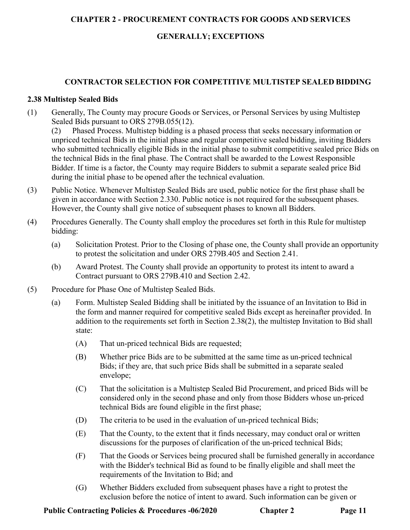# **GENERALLY; EXCEPTIONS**

# **CONTRACTOR SELECTION FOR COMPETITIVE MULTISTEP SEALED BIDDING**

#### **2.38 Multistep Sealed Bids**

(1) Generally, The County may procure Goods or Services, or Personal Services by using Multistep Sealed Bids pursuant to ORS 279B.055(12).

(2) Phased Process. Multistep bidding is a phased process that seeks necessary information or unpriced technical Bids in the initial phase and regular competitive sealed bidding, inviting Bidders who submitted technically eligible Bids in the initial phase to submit competitive sealed price Bids on the technical Bids in the final phase. The Contract shall be awarded to the Lowest Responsible Bidder. If time is a factor, the County may require Bidders to submit a separate sealed price Bid during the initial phase to be opened after the technical evaluation.

- (3) Public Notice. Whenever Multistep Sealed Bids are used, public notice for the first phase shall be given in accordance with Section 2.330. Public notice is not required for the subsequent phases. However, the County shall give notice of subsequent phases to known all Bidders.
- (4) Procedures Generally. The County shall employ the procedures set forth in this Rule for multistep bidding:
	- (a) Solicitation Protest. Prior to the Closing of phase one, the County shall provide an opportunity to protest the solicitation and under ORS 279B.405 and Section 2.41.
	- (b) Award Protest. The County shall provide an opportunity to protest its intent to award a Contract pursuant to ORS 279B.410 and Section 2.42.
- (5) Procedure for Phase One of Multistep Sealed Bids.
	- (a) Form. Multistep Sealed Bidding shall be initiated by the issuance of an Invitation to Bid in the form and manner required for competitive sealed Bids except as hereinafter provided. In addition to the requirements set forth in Section 2.38(2), the multistep Invitation to Bid shall state:
		- (A) That un-priced technical Bids are requested;
		- (B) Whether price Bids are to be submitted at the same time as un-priced technical Bids; if they are, that such price Bids shall be submitted in a separate sealed envelope;
		- (C) That the solicitation is a Multistep Sealed Bid Procurement, and priced Bids will be considered only in the second phase and only from those Bidders whose un-priced technical Bids are found eligible in the first phase;
		- (D) The criteria to be used in the evaluation of un-priced technical Bids;
		- (E) That the County, to the extent that it finds necessary, may conduct oral or written discussions for the purposes of clarification of the un-priced technical Bids;
		- (F) That the Goods or Services being procured shall be furnished generally in accordance with the Bidder's technical Bid as found to be finally eligible and shall meet the requirements of the Invitation to Bid; and
		- (G) Whether Bidders excluded from subsequent phases have a right to protest the exclusion before the notice of intent to award. Such information can be given or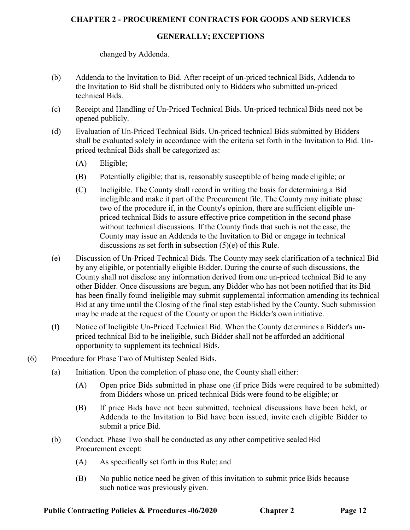#### **GENERALLY; EXCEPTIONS**

changed by Addenda.

- (b) Addenda to the Invitation to Bid. After receipt of un-priced technical Bids, Addenda to the Invitation to Bid shall be distributed only to Bidders who submitted un-priced technical Bids.
- (c) Receipt and Handling of Un-Priced Technical Bids. Un-priced technical Bids need not be opened publicly.
- (d) Evaluation of Un-Priced Technical Bids. Un-priced technical Bids submitted by Bidders shall be evaluated solely in accordance with the criteria set forth in the Invitation to Bid. Unpriced technical Bids shall be categorized as:
	- (A) Eligible;
	- (B) Potentially eligible; that is, reasonably susceptible of being made eligible; or
	- (C) Ineligible. The County shall record in writing the basis for determining a Bid ineligible and make it part of the Procurement file. The County may initiate phase two of the procedure if, in the County's opinion, there are sufficient eligible unpriced technical Bids to assure effective price competition in the second phase without technical discussions. If the County finds that such is not the case, the County may issue an Addenda to the Invitation to Bid or engage in technical discussions as set forth in subsection (5)(e) of this Rule.
- (e) Discussion of Un-Priced Technical Bids. The County may seek clarification of a technical Bid by any eligible, or potentially eligible Bidder. During the course of such discussions, the County shall not disclose any information derived from one un-priced technical Bid to any other Bidder. Once discussions are begun, any Bidder who has not been notified that its Bid has been finally found ineligible may submit supplemental information amending its technical Bid at any time until the Closing of the final step established by the County. Such submission may be made at the request of the County or upon the Bidder's own initiative.
- (f) Notice of Ineligible Un-Priced Technical Bid. When the County determines a Bidder's unpriced technical Bid to be ineligible, such Bidder shall not be afforded an additional opportunity to supplement its technical Bids.
- (6) Procedure for Phase Two of Multistep Sealed Bids.
	- (a) Initiation. Upon the completion of phase one, the County shall either:
		- (A) Open price Bids submitted in phase one (if price Bids were required to be submitted) from Bidders whose un-priced technical Bids were found to be eligible; or
		- (B) If price Bids have not been submitted, technical discussions have been held, or Addenda to the Invitation to Bid have been issued, invite each eligible Bidder to submit a price Bid.
	- (b) Conduct. Phase Two shall be conducted as any other competitive sealed Bid Procurement except:
		- (A) As specifically set forth in this Rule; and
		- (B) No public notice need be given of this invitation to submit price Bids because such notice was previously given.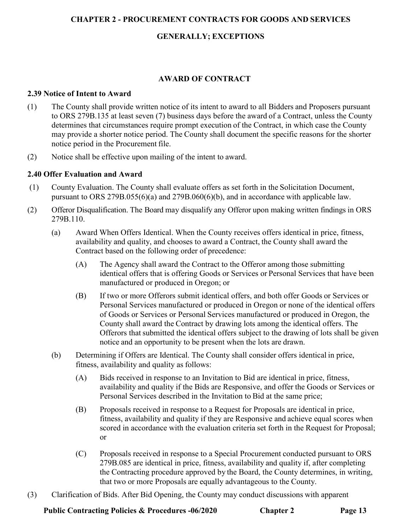# **GENERALLY; EXCEPTIONS**

# **AWARD OF CONTRACT**

### **2.39 Notice of Intent to Award**

- (1) The County shall provide written notice of its intent to award to all Bidders and Proposers pursuant to ORS 279B.135 at least seven (7) business days before the award of a Contract, unless the County determines that circumstances require prompt execution of the Contract, in which case the County may provide a shorter notice period. The County shall document the specific reasons for the shorter notice period in the Procurement file.
- (2) Notice shall be effective upon mailing of the intent to award.

# **2.40 Offer Evaluation and Award**

- (1) County Evaluation. The County shall evaluate offers as set forth in the Solicitation Document, pursuant to ORS 279B.055(6)(a) and 279B.060(6)(b), and in accordance with applicable law.
- (2) Offeror Disqualification. The Board may disqualify any Offeror upon making written findings in ORS 279B.110.
	- (a) Award When Offers Identical. When the County receives offers identical in price, fitness, availability and quality, and chooses to award a Contract, the County shall award the Contract based on the following order of precedence:
		- (A) The Agency shall award the Contract to the Offeror among those submitting identical offers that is offering Goods or Services or Personal Services that have been manufactured or produced in Oregon; or
		- (B) If two or more Offerors submit identical offers, and both offer Goods or Services or Personal Services manufactured or produced in Oregon or none of the identical offers of Goods or Services or Personal Services manufactured or produced in Oregon, the County shall award the Contract by drawing lots among the identical offers. The Offerors that submitted the identical offers subject to the drawing of lots shall be given notice and an opportunity to be present when the lots are drawn.
	- (b) Determining if Offers are Identical. The County shall consider offers identical in price, fitness, availability and quality as follows:
		- (A) Bids received in response to an Invitation to Bid are identical in price, fitness, availability and quality if the Bids are Responsive, and offer the Goods or Services or Personal Services described in the Invitation to Bid at the same price;
		- (B) Proposals received in response to a Request for Proposals are identical in price, fitness, availability and quality if they are Responsive and achieve equal scores when scored in accordance with the evaluation criteria set forth in the Request for Proposal; or
		- (C) Proposals received in response to a Special Procurement conducted pursuant to ORS 279B.085 are identical in price, fitness, availability and quality if, after completing the Contracting procedure approved by the Board, the County determines, in writing, that two or more Proposals are equally advantageous to the County.
- (3) Clarification of Bids. After Bid Opening, the County may conduct discussions with apparent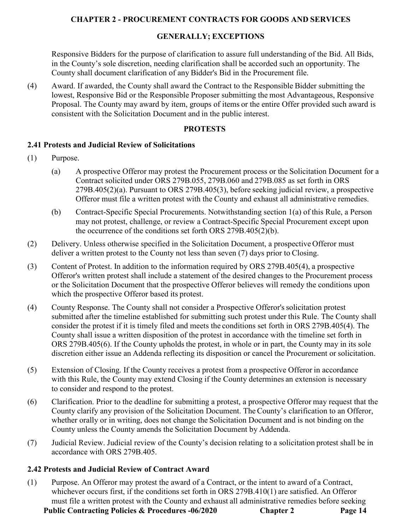## **GENERALLY; EXCEPTIONS**

Responsive Bidders for the purpose of clarification to assure full understanding of the Bid. All Bids, in the County's sole discretion, needing clarification shall be accorded such an opportunity. The County shall document clarification of any Bidder's Bid in the Procurement file.

(4) Award. If awarded, the County shall award the Contract to the Responsible Bidder submitting the lowest, Responsive Bid or the Responsible Proposer submitting the most Advantageous, Responsive Proposal. The County may award by item, groups of items or the entire Offer provided such award is consistent with the Solicitation Document and in the public interest.

### **PROTESTS**

#### **2.41 Protests and Judicial Review of Solicitations**

- (1) Purpose.
	- (a) A prospective Offeror may protest the Procurement process or the Solicitation Document for a Contract solicited under ORS 279B.055, 279B.060 and 279B.085 as set forth in ORS 279B.405(2)(a). Pursuant to ORS 279B.405(3), before seeking judicial review, a prospective Offeror must file a written protest with the County and exhaust all administrative remedies.
	- (b) Contract-Specific Special Procurements. Notwithstanding section 1(a) of this Rule, a Person may not protest, challenge, or review a Contract-Specific Special Procurement except upon the occurrence of the conditions set forth ORS 279B.405(2)(b).
- (2) Delivery. Unless otherwise specified in the Solicitation Document, a prospective Offeror must deliver a written protest to the County not less than seven (7) days prior to Closing.
- (3) Content of Protest. In addition to the information required by ORS 279B.405(4), a prospective Offeror's written protest shall include a statement of the desired changes to the Procurement process or the Solicitation Document that the prospective Offeror believes will remedy the conditions upon which the prospective Offeror based its protest.
- (4) County Response. The County shall not consider a Prospective Offeror'ssolicitation protest submitted after the timeline established for submitting such protest under this Rule. The County shall consider the protest if it is timely filed and meets the conditions set forth in ORS 279B.405(4). The County shall issue a written disposition of the protest in accordance with the timeline set forth in ORS 279B.405(6). If the County upholds the protest, in whole or in part, the County may in its sole discretion either issue an Addenda reflecting its disposition or cancel the Procurement or solicitation.
- (5) Extension of Closing. If the County receives a protest from a prospective Offeror in accordance with this Rule, the County may extend Closing if the County determines an extension is necessary to consider and respond to the protest.
- (6) Clarification. Prior to the deadline for submitting a protest, a prospective Offeror may request that the County clarify any provision of the Solicitation Document. TheCounty's clarification to an Offeror, whether orally or in writing, does not change the Solicitation Document and is not binding on the County unless the County amends the Solicitation Document by Addenda.
- (7) Judicial Review. Judicial review of the County's decision relating to a solicitation protest shall be in accordance with ORS 279B.405.

### **2.42 Protests and Judicial Review of Contract Award**

**Public Contracting Policies & Procedures -06/2020 Chapter 2 Page 14** (1) Purpose. An Offeror may protest the award of a Contract, or the intent to award of a Contract, whichever occurs first, if the conditions set forth in ORS 279B.410(1) are satisfied. An Offeror must file a written protest with the County and exhaust all administrative remedies before seeking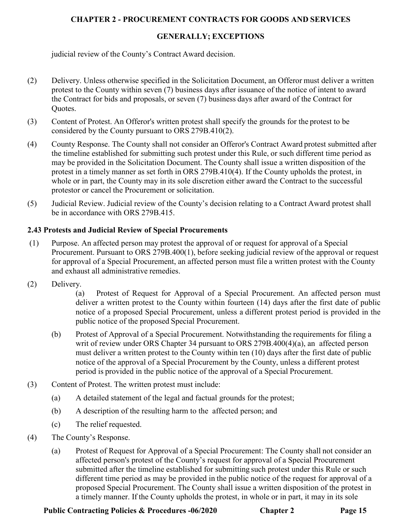# **GENERALLY; EXCEPTIONS**

judicial review of the County's Contract Award decision.

- (2) Delivery. Unless otherwise specified in the Solicitation Document, an Offeror must deliver a written protest to the County within seven (7) business days after issuance of the notice of intent to award the Contract for bids and proposals, or seven (7) business days after award of the Contract for Quotes.
- (3) Content of Protest. An Offeror's written protest shall specify the grounds for the protest to be considered by the County pursuant to ORS 279B.410(2).
- (4) County Response. The County shall not consider an Offeror's Contract Award protest submitted after the timeline established for submitting such protest under this Rule, or such different time period as may be provided in the Solicitation Document. The County shall issue a written disposition of the protest in a timely manner as set forth in ORS 279B.410(4). If the County upholds the protest, in whole or in part, the County may in its sole discretion either award the Contract to the successful protestor or cancel the Procurement or solicitation.
- (5) Judicial Review. Judicial review of the County's decision relating to a Contract Award protest shall be in accordance with ORS 279B.415.

# **2.43 Protests and Judicial Review of Special Procurements**

- (1) Purpose. An affected person may protest the approval of or request for approval of a Special Procurement. Pursuant to ORS 279B.400(1), before seeking judicial review of the approval or request for approval of a Special Procurement, an affected person must file a written protest with the County and exhaust all administrative remedies.
- (2) Delivery.

(a) Protest of Request for Approval of a Special Procurement. An affected person must deliver a written protest to the County within fourteen (14) days after the first date of public notice of a proposed Special Procurement, unless a different protest period is provided in the public notice of the proposed Special Procurement.

- (b) Protest of Approval of a Special Procurement. Notwithstanding the requirements for filing a writ of review under ORS Chapter 34 pursuant to ORS 279B.400(4)(a), an affected person must deliver a written protest to the County within ten (10) days after the first date of public notice of the approval of a Special Procurement by the County, unless a different protest period is provided in the public notice of the approval of a Special Procurement.
- (3) Content of Protest. The written protest must include:
	- (a) A detailed statement of the legal and factual grounds for the protest;
	- (b) A description of the resulting harm to the affected person; and
	- (c) The relief requested.
- (4) The County's Response.
	- (a) Protest of Request for Approval of a Special Procurement: The County shall not consider an affected person's protest of the County's request for approval of a Special Procurement submitted after the timeline established for submitting such protest under this Rule or such different time period as may be provided in the public notice of the request for approval of a proposed Special Procurement. The County shall issue a written disposition of the protest in a timely manner. If the County upholds the protest, in whole or in part, it may in its sole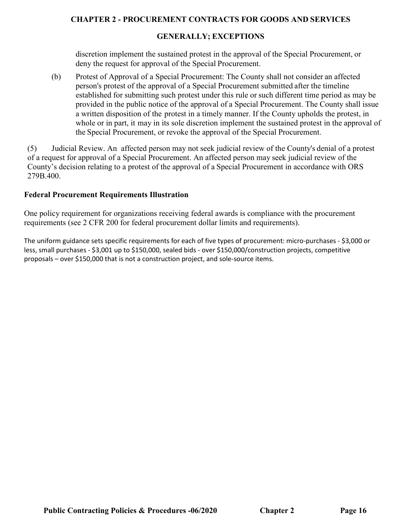### **GENERALLY; EXCEPTIONS**

discretion implement the sustained protest in the approval of the Special Procurement, or deny the request for approval of the Special Procurement.

(b) Protest of Approval of a Special Procurement: The County shall not consider an affected person's protest of the approval of a Special Procurement submitted after the timeline established for submitting such protest under this rule or such different time period as may be provided in the public notice of the approval of a Special Procurement. The County shall issue a written disposition of the protest in a timely manner. If the County upholds the protest, in whole or in part, it may in its sole discretion implement the sustained protest in the approval of the Special Procurement, or revoke the approval of the Special Procurement.

(5) Judicial Review. An affected person may not seek judicial review of the County's denial of a protest of a request for approval of a Special Procurement. An affected person may seek judicial review of the County's decision relating to a protest of the approval of a Special Procurement in accordance with ORS 279B.400.

#### **Federal Procurement Requirements Illustration**

One policy requirement for organizations receiving federal awards is compliance with the procurement requirements (see 2 CFR 200 for federal procurement dollar limits and requirements).

The uniform guidance sets specific requirements for each of five types of procurement: micro-purchases - \$3,000 or less, small purchases - \$3,001 up to \$150,000, sealed bids - over \$150,000/construction projects, competitive proposals – over \$150,000 that is not a construction project, and sole-source items.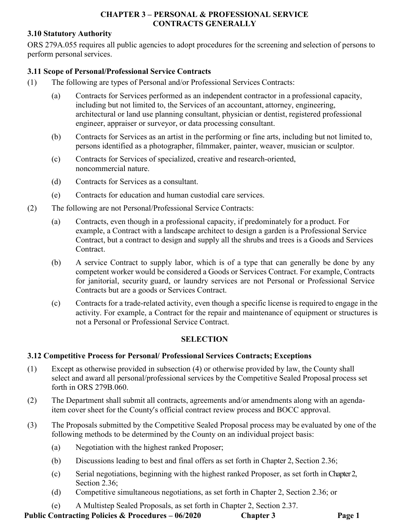## **CHAPTER 3 – PERSONAL & PROFESSIONAL SERVICE CONTRACTS GENERALLY**

## **3.10 Statutory Authority**

ORS 279A.055 requires all public agencies to adopt procedures for the screening and selection of persons to perform personal services.

## **3.11 Scope of Personal/Professional Service Contracts**

- (1) The following are types of Personal and/or Professional Services Contracts:
	- (a) Contracts for Services performed as an independent contractor in a professional capacity, including but not limited to, the Services of an accountant, attorney, engineering, architectural or land use planning consultant, physician or dentist, registered professional engineer, appraiser or surveyor, or data processing consultant.
	- (b) Contracts for Services as an artist in the performing or fine arts, including but not limited to, persons identified as a photographer, filmmaker, painter, weaver, musician or sculptor.
	- (c) Contracts for Services of specialized, creative and research-oriented, noncommercial nature.
	- (d) Contracts for Services as a consultant.
	- (e) Contracts for education and human custodial care services.
- (2) The following are not Personal/Professional Service Contracts:
	- (a) Contracts, even though in a professional capacity, if predominately for a product. For example, a Contract with a landscape architect to design a garden is a Professional Service Contract, but a contract to design and supply all the shrubs and trees is a Goods and Services Contract.
	- (b) A service Contract to supply labor, which is of a type that can generally be done by any competent worker would be considered a Goods or Services Contract. For example, Contracts for janitorial, security guard, or laundry services are not Personal or Professional Service Contracts but are a goods or Services Contract.
	- (c) Contracts for a trade-related activity, even though a specific license is required to engage in the activity. For example, a Contract for the repair and maintenance of equipment or structures is not a Personal or Professional Service Contract.

# **SELECTION**

# **3.12 Competitive Process for Personal/ Professional Services Contracts; Exceptions**

- (1) Except as otherwise provided in subsection (4) or otherwise provided by law, the County shall select and award all personal/professional services by the Competitive Sealed Proposal process set forth in ORS 279B.060.
- (2) The Department shall submit all contracts, agreements and/or amendments along with an agendaitem cover sheet for the County's official contract review process and BOCC approval.
- (3) The Proposals submitted by the Competitive Sealed Proposal process may be evaluated by one of the following methods to be determined by the County on an individual project basis:
	- (a) Negotiation with the highest ranked Proposer;
	- (b) Discussions leading to best and final offers as set forth in Chapter 2, Section 2.36;
	- (c) Serial negotiations, beginning with the highest ranked Proposer, as set forth in Chapter 2, Section 2.36:
	- (d) Competitive simultaneous negotiations, as set forth in Chapter 2, Section 2.36; or
	- (e) A Multistep Sealed Proposals, as set forth in Chapter 2, Section 2.37.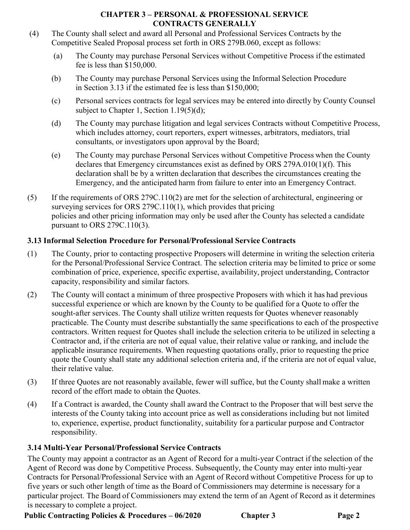## **CHAPTER 3 – PERSONAL & PROFESSIONAL SERVICE CONTRACTS GENERALLY**

- (4) The County shall select and award all Personal and Professional Services Contracts by the Competitive Sealed Proposal process set forth in ORS 279B.060, except as follows:
	- (a) The County may purchase Personal Services without Competitive Process if the estimated fee is less than \$150,000.
	- (b) The County may purchase Personal Services using the Informal Selection Procedure in Section 3.13 if the estimated fee is less than \$150,000;
	- (c) Personal services contracts for legal services may be entered into directly by County Counsel subject to Chapter 1, Section 1.19(5)(d);
	- (d) The County may purchase litigation and legal services Contracts without Competitive Process, which includes attorney, court reporters, expert witnesses, arbitrators, mediators, trial consultants, or investigators upon approval by the Board;
	- (e) The County may purchase Personal Services without Competitive Process when the County declares that Emergency circumstances exist as defined by ORS 279A.010(1)(f). This declaration shall be by a written declaration that describes the circumstances creating the Emergency, and the anticipated harm from failure to enter into an Emergency Contract.
- (5) If the requirements of ORS 279C.110(2) are met for the selection of architectural, engineering or surveying services for ORS 279C.110(1), which provides that pricing policies and other pricing information may only be used after the County has selected a candidate pursuant to ORS 279C.110(3).

# **3.13 Informal Selection Procedure for Personal/Professional Service Contracts**

- (1) The County, prior to contacting prospective Proposers will determine in writing the selection criteria for the Personal/Professional Service Contract. The selection criteria may be limited to price or some combination of price, experience, specific expertise, availability, project understanding, Contractor capacity, responsibility and similar factors.
- (2) The County will contact a minimum of three prospective Proposers with which it has had previous successful experience or which are known by the County to be qualified for a Quote to offer the sought-after services. The County shall utilize written requests for Quotes whenever reasonably practicable. The County must describe substantially the same specifications to each of the prospective contractors. Written request for Quotes shall include the selection criteria to be utilized in selecting a Contractor and, if the criteria are not of equal value, their relative value or ranking, and include the applicable insurance requirements. When requesting quotations orally, prior to requesting the price quote the County shall state any additional selection criteria and, if the criteria are not of equal value, their relative value.
- (3) If three Quotes are not reasonably available, fewer will suffice, but the County shall make a written record of the effort made to obtain the Quotes.
- (4) If a Contract is awarded, the County shall award the Contract to the Proposer that will best serve the interests of the County taking into account price as well as considerations including but not limited to, experience, expertise, product functionality, suitability for a particular purpose and Contractor responsibility.

# **3.14 Multi-Year Personal/Professional Service Contracts**

The County may appoint a contractor as an Agent of Record for a multi-year Contract if the selection of the Agent of Record was done by Competitive Process. Subsequently, the County may enter into multi-year Contracts for Personal/Professional Service with an Agent of Record without Competitive Process for up to five years or such other length of time as the Board of Commissioners may determine is necessary for a particular project. The Board of Commissioners may extend the term of an Agent of Record as it determines is necessary to complete a project.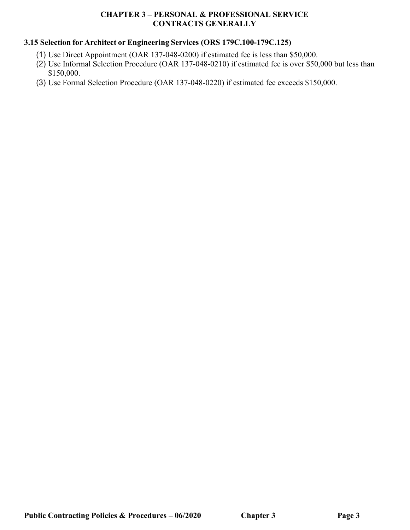### **CHAPTER 3 – PERSONAL & PROFESSIONAL SERVICE CONTRACTS GENERALLY**

# **3.15 Selection for Architect or Engineering Services (ORS 179C.100-179C.125)**

- (1) Use Direct Appointment (OAR 137-048-0200) if estimated fee is less than \$50,000.
- (2) Use Informal Selection Procedure (OAR 137-048-0210) if estimated fee is over \$50,000 but less than \$150,000.
- (3) Use Formal Selection Procedure (OAR 137-048-0220) if estimated fee exceeds \$150,000.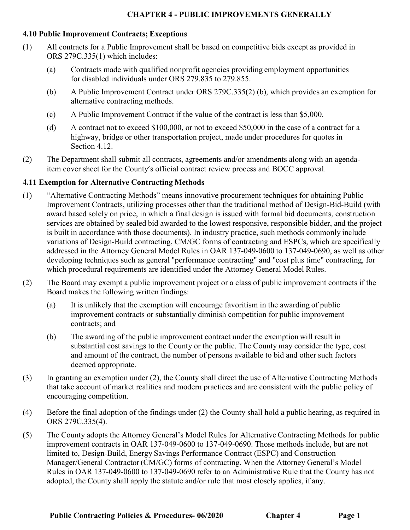#### **4.10 Public Improvement Contracts; Exceptions**

- (1) All contracts for a Public Improvement shall be based on competitive bids except as provided in ORS 279C.335(1) which includes:
	- (a) Contracts made with qualified nonprofit agencies providing employment opportunities for disabled individuals under ORS 279.835 to 279.855.
	- (b) A Public Improvement Contract under ORS 279C.335(2) (b), which provides an exemption for alternative contracting methods.
	- (c) A Public Improvement Contract if the value of the contract is less than \$5,000.
	- (d) A contract not to exceed \$100,000, or not to exceed \$50,000 in the case of a contract for a highway, bridge or other transportation project, made under procedures for quotes in Section 4.12.
- (2) The Department shall submit all contracts, agreements and/or amendments along with an agendaitem cover sheet for the County's official contract review process and BOCC approval.

### **4.11 Exemption for Alternative Contracting Methods**

- (1) "Alternative Contracting Methods" means innovative procurement techniques for obtaining Public Improvement Contracts, utilizing processes other than the traditional method of Design-Bid-Build (with award based solely on price, in which a final design is issued with formal bid documents, construction services are obtained by sealed bid awarded to the lowest responsive, responsible bidder, and the project is built in accordance with those documents). In industry practice, such methods commonly include variations of Design-Build contracting, CM/GC forms of contracting and ESPCs, which are specifically addressed in the Attorney General Model Rules in OAR 137-049-0600 to 137-049-0690, as well as other developing techniques such as general "performance contracting" and "cost plus time" contracting, for which procedural requirements are identified under the Attorney General Model Rules.
- (2) The Board may exempt a public improvement project or a class of public improvement contracts if the Board makes the following written findings:
	- (a) It is unlikely that the exemption will encourage favoritism in the awarding of public improvement contracts or substantially diminish competition for public improvement contracts; and
	- (b) The awarding of the public improvement contract under the exemption will result in substantial cost savings to the County or the public. The County may consider the type, cost and amount of the contract, the number of persons available to bid and other such factors deemed appropriate.
- (3) In granting an exemption under (2), the County shall direct the use of Alternative Contracting Methods that take account of market realities and modern practices and are consistent with the public policy of encouraging competition.
- (4) Before the final adoption of the findings under (2) the County shall hold a public hearing, as required in ORS 279C.335(4).
- (5) The County adopts the Attorney General's Model Rules for Alternative Contracting Methods for public improvement contracts in OAR 137-049-0600 to 137-049-0690. Those methods include, but are not limited to, Design-Build, Energy Savings Performance Contract (ESPC) and Construction Manager/General Contractor (CM/GC) forms of contracting. When the Attorney General's Model Rules in OAR 137-049-0600 to 137-049-0690 refer to an Administrative Rule that the County has not adopted, the County shall apply the statute and/or rule that most closely applies, if any.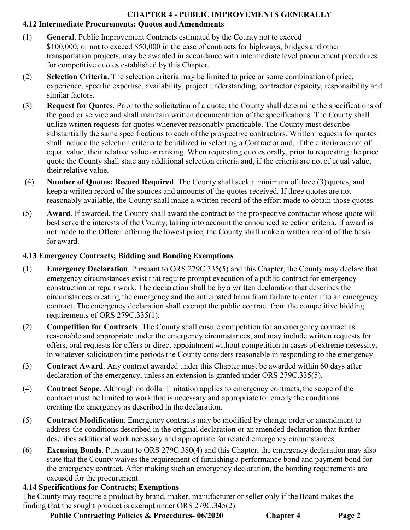# **CHAPTER 4 - PUBLIC IMPROVEMENTS GENERALLY 4.12 Intermediate Procurements; Quotes and Amendments**

- (1) **General**. Public Improvement Contracts estimated by the County not to exceed \$100,000, or not to exceed \$50,000 in the case of contracts for highways, bridges and other transportation projects, may be awarded in accordance with intermediate level procurement procedures for competitive quotes established by this Chapter.
- (2) **Selection Criteria**. The selection criteria may be limited to price or some combination of price, experience, specific expertise, availability, project understanding, contractor capacity, responsibility and similar factors.
- (3) **Request for Quotes**. Prior to the solicitation of a quote, the County shall determine the specifications of the good or service and shall maintain written documentation of the specifications. The County shall utilize written requests for quotes whenever reasonably practicable. The County must describe substantially the same specifications to each of the prospective contractors. Written requests for quotes shall include the selection criteria to be utilized in selecting a Contractor and, if the criteria are not of equal value, their relative value or ranking. When requesting quotes orally, prior to requesting the price quote the County shall state any additional selection criteria and, if the criteria are not of equal value, their relative value.
- (4) **Number of Quotes; Record Required**. The County shall seek a minimum of three (3) quotes, and keep a written record of the sources and amounts of the quotes received. If three quotes are not reasonably available, the County shall make a written record of the effort made to obtain those quotes.
- (5) **Award**. If awarded, the County shall award the contract to the prospective contractor whose quote will best serve the interests of the County, taking into account the announced selection criteria. If award is not made to the Offeror offering the lowest price, the County shall make a written record of the basis for award.

# **4.13 Emergency Contracts; Bidding and Bonding Exemptions**

- (1) **Emergency Declaration**. Pursuant to ORS 279C.335(5) and this Chapter, the County may declare that emergency circumstances exist that require prompt execution of a public contract for emergency construction or repair work. The declaration shall be by a written declaration that describes the circumstances creating the emergency and the anticipated harm from failure to enter into an emergency contract. The emergency declaration shall exempt the public contract from the competitive bidding requirements of ORS 279C.335(1).
- (2) **Competition for Contracts**. The County shall ensure competition for an emergency contract as reasonable and appropriate under the emergency circumstances, and may include written requests for offers, oral requests for offers or direct appointment without competition in cases of extreme necessity, in whatever solicitation time periods the County considers reasonable in responding to the emergency.
- (3) **Contract Award**. Any contract awarded under this Chapter must be awarded within 60 days after declaration of the emergency, unless an extension is granted under ORS 279C.335(5).
- (4) **Contract Scope**. Although no dollar limitation applies to emergency contracts, the scope of the contract must be limited to work that is necessary and appropriate to remedy the conditions creating the emergency as described in the declaration.
- (5) **Contract Modification**. Emergency contracts may be modified by change order or amendment to address the conditions described in the original declaration or an amended declaration that further describes additional work necessary and appropriate for related emergency circumstances.
- (6) **Excusing Bonds**. Pursuant to ORS 279C.380(4) and this Chapter, the emergency declaration may also state that the County waives the requirement of furnishing a performance bond and payment bond for the emergency contract. After making such an emergency declaration, the bonding requirements are excused for the procurement.

# **4.14 Specifications for Contracts; Exemptions**

The County may require a product by brand, maker, manufacturer or seller only if the Board makes the finding that the sought product is exempt under ORS 279C.345(2).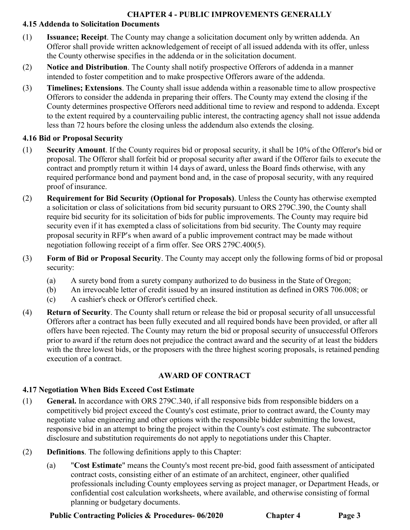# **4.15 Addenda to Solicitation Documents**

- (1) **Issuance; Receipt**. The County may change a solicitation document only by written addenda. An Offeror shall provide written acknowledgement of receipt of all issued addenda with its offer, unless the County otherwise specifies in the addenda or in the solicitation document.
- (2) **Notice and Distribution**. The County shall notify prospective Offerors of addenda in a manner intended to foster competition and to make prospective Offerors aware of the addenda.
- (3) **Timelines; Extensions**. The County shall issue addenda within a reasonable time to allow prospective Offerors to consider the addenda in preparing their offers. The County may extend the closing if the County determines prospective Offerors need additional time to review and respond to addenda. Except to the extent required by a countervailing public interest, the contracting agency shall not issue addenda less than 72 hours before the closing unless the addendum also extends the closing.

# **4.16 Bid or Proposal Security**

- (1) **Security Amount**. If the County requires bid or proposal security, it shall be 10% of the Offeror's bid or proposal. The Offeror shall forfeit bid or proposal security after award if the Offeror fails to execute the contract and promptly return it within 14 days of award, unless the Board finds otherwise, with any required performance bond and payment bond and, in the case of proposal security, with any required proof of insurance.
- (2) **Requirement for Bid Security (Optional for Proposals)**. Unless the County has otherwise exempted a solicitation or class of solicitations from bid security pursuant to ORS 279C.390, the County shall require bid security for its solicitation of bids for public improvements. The County may require bid security even if it has exempted a class of solicitations from bid security. The County may require proposal security in RFP's when award of a public improvement contract may be made without negotiation following receipt of a firm offer. See ORS 279C.400(5).
- (3) **Form of Bid or Proposal Security**. The County may accept only the following forms of bid or proposal security:
	- (a) A surety bond from a surety company authorized to do business in the State of Oregon;
	- (b) An irrevocable letter of credit issued by an insured institution as defined in ORS 706.008; or
	- (c) A cashier's check or Offeror's certified check.
- (4) **Return of Security**. The County shall return or release the bid or proposal security of all unsuccessful Offerors after a contract has been fully executed and all required bonds have been provided, or after all offers have been rejected. The County may return the bid or proposal security of unsuccessful Offerors prior to award if the return does not prejudice the contract award and the security of at least the bidders with the three lowest bids, or the proposers with the three highest scoring proposals, is retained pending execution of a contract.

# **AWARD OF CONTRACT**

# **4.17 Negotiation When Bids Exceed Cost Estimate**

- (1) **General.** In accordance with ORS 279C.340, if all responsive bids from responsible bidders on a competitively bid project exceed the County's cost estimate, prior to contract award, the County may negotiate value engineering and other options with the responsible bidder submitting the lowest, responsive bid in an attempt to bring the project within the County's cost estimate. The subcontractor disclosure and substitution requirements do not apply to negotiations under this Chapter.
- (2) **Definitions**. The following definitions apply to this Chapter:
	- (a) "**Cost Estimate**" means the County's most recent pre-bid, good faith assessment of anticipated contract costs, consisting either of an estimate of an architect, engineer, other qualified professionals including County employees serving as project manager, or Department Heads, or confidential cost calculation worksheets, where available, and otherwise consisting of formal planning or budgetary documents.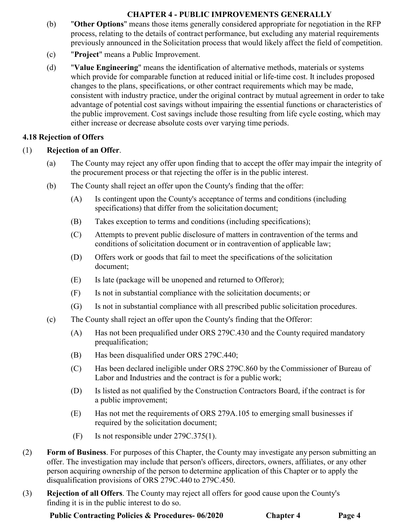- (b) "**Other Options**" means those items generally considered appropriate for negotiation in the RFP process, relating to the details of contract performance, but excluding any material requirements previously announced in the Solicitation process that would likely affect the field of competition.
- (c) "**Project**" means a Public Improvement.
- (d) "**Value Engineering**" means the identification of alternative methods, materials or systems which provide for comparable function at reduced initial or life-time cost. It includes proposed changes to the plans, specifications, or other contract requirements which may be made, consistent with industry practice, under the original contract by mutual agreement in order to take advantage of potential cost savings without impairing the essential functions or characteristics of the public improvement. Cost savings include those resulting from life cycle costing, which may either increase or decrease absolute costs over varying time periods.

# **4.18 Rejection of Offers**

# (1) **Rejection of an Offer**.

- (a) The County may reject any offer upon finding that to accept the offer may impair the integrity of the procurement process or that rejecting the offer is in the public interest.
- (b) The County shall reject an offer upon the County's finding that the offer:
	- (A) Is contingent upon the County's acceptance of terms and conditions (including specifications) that differ from the solicitation document;
	- (B) Takes exception to terms and conditions (including specifications);
	- (C) Attempts to prevent public disclosure of matters in contravention of the terms and conditions of solicitation document or in contravention of applicable law;
	- (D) Offers work or goods that fail to meet the specifications of the solicitation document;
	- (E) Is late (package will be unopened and returned to Offeror);
	- (F) Is not in substantial compliance with the solicitation documents; or
	- (G) Is not in substantial compliance with all prescribed public solicitation procedures.
- (c) The County shall reject an offer upon the County's finding that the Offeror:
	- (A) Has not been prequalified under ORS 279C.430 and the County required mandatory prequalification;
	- (B) Has been disqualified under ORS 279C.440;
	- (C) Has been declared ineligible under ORS 279C.860 by the Commissioner of Bureau of Labor and Industries and the contract is for a public work;
	- (D) Is listed as not qualified by the Construction Contractors Board, if the contract is for a public improvement;
	- (E) Has not met the requirements of ORS 279A.105 to emerging small businesses if required by the solicitation document;
	- (F) Is not responsible under 279C.375(1).
- (2) **Form of Business**. For purposes of this Chapter, the County may investigate any person submitting an offer. The investigation may include that person's officers, directors, owners, affiliates, or any other person acquiring ownership of the person to determine application of this Chapter or to apply the disqualification provisions of ORS 279C.440 to 279C.450.
- (3) **Rejection of all Offers**. The County may reject all offers for good cause upon the County's finding it is in the public interest to do so.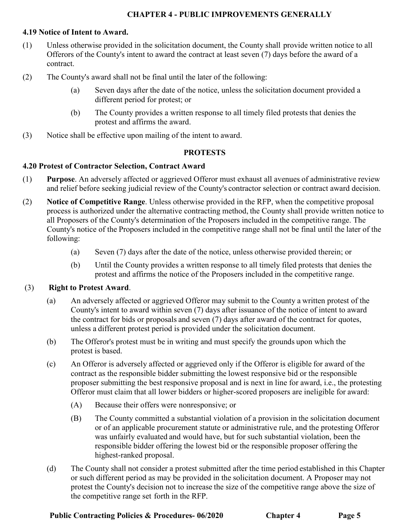#### **4.19 Notice of Intent to Award.**

- (1) Unless otherwise provided in the solicitation document, the County shall provide written notice to all Offerors of the County's intent to award the contract at least seven (7) days before the award of a contract.
- (2) The County's award shall not be final until the later of the following:
	- (a) Seven days after the date of the notice, unless the solicitation document provided a different period for protest; or
	- (b) The County provides a written response to all timely filed protests that denies the protest and affirms the award.
- (3) Notice shall be effective upon mailing of the intent to award.

#### **PROTESTS**

#### **4.20 Protest of Contractor Selection, Contract Award**

- (1) **Purpose**. An adversely affected or aggrieved Offeror must exhaust all avenues of administrative review and relief before seeking judicial review of the County's contractor selection or contract award decision.
- (2) **Notice of Competitive Range**. Unless otherwise provided in the RFP, when the competitive proposal process is authorized under the alternative contracting method, the County shall provide written notice to all Proposers of the County's determination of the Proposers included in the competitive range. The County's notice of the Proposers included in the competitive range shall not be final until the later of the following:
	- (a) Seven (7) days after the date of the notice, unless otherwise provided therein; or
	- (b) Until the County provides a written response to all timely filed protests that denies the protest and affirms the notice of the Proposers included in the competitive range.

#### (3) **Right to Protest Award**.

- (a) An adversely affected or aggrieved Offeror may submit to the County a written protest of the County's intent to award within seven (7) days after issuance of the notice of intent to award the contract for bids or proposals and seven (7) days after award of the contract for quotes, unless a different protest period is provided under the solicitation document.
- (b) The Offeror's protest must be in writing and must specify the grounds upon which the protest is based.
- (c) An Offeror is adversely affected or aggrieved only if the Offeror is eligible for award of the contract as the responsible bidder submitting the lowest responsive bid or the responsible proposer submitting the best responsive proposal and is next in line for award, i.e., the protesting Offeror must claim that all lower bidders or higher-scored proposers are ineligible for award:
	- (A) Because their offers were nonresponsive; or
	- (B) The County committed a substantial violation of a provision in the solicitation document or of an applicable procurement statute or administrative rule, and the protesting Offeror was unfairly evaluated and would have, but for such substantial violation, been the responsible bidder offering the lowest bid or the responsible proposer offering the highest-ranked proposal.
- (d) The County shall not consider a protest submitted after the time period established in this Chapter or such different period as may be provided in the solicitation document. A Proposer may not protest the County's decision not to increase the size of the competitive range above the size of the competitive range set forth in the RFP.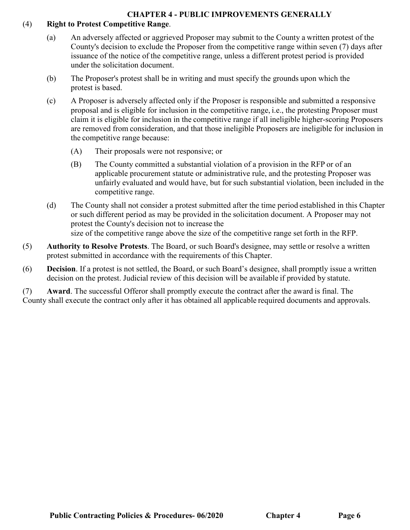## (4) **Right to Protest Competitive Range**.

- (a) An adversely affected or aggrieved Proposer may submit to the County a written protest of the County's decision to exclude the Proposer from the competitive range within seven (7) days after issuance of the notice of the competitive range, unless a different protest period is provided under the solicitation document.
- (b) The Proposer's protest shall be in writing and must specify the grounds upon which the protest is based.
- (c) A Proposer is adversely affected only if the Proposer is responsible and submitted a responsive proposal and is eligible for inclusion in the competitive range, i.e., the protesting Proposer must claim it is eligible for inclusion in the competitive range if all ineligible higher-scoring Proposers are removed from consideration, and that those ineligible Proposers are ineligible for inclusion in the competitive range because:
	- (A) Their proposals were not responsive; or
	- (B) The County committed a substantial violation of a provision in the RFP or of an applicable procurement statute or administrative rule, and the protesting Proposer was unfairly evaluated and would have, but for such substantial violation, been included in the competitive range.
- (d) The County shall not consider a protest submitted after the time period established in this Chapter or such different period as may be provided in the solicitation document. A Proposer may not protest the County's decision not to increase the size of the competitive range above the size of the competitive range set forth in the RFP.
- (5) **Authority to Resolve Protests**. The Board, or such Board's designee, may settle or resolve a written protest submitted in accordance with the requirements of this Chapter.
- (6) **Decision**. If a protest is not settled, the Board, or such Board's designee, shall promptly issue a written decision on the protest. Judicial review of this decision will be available if provided by statute.

(7) **Award**. The successful Offeror shall promptly execute the contract after the award is final. The County shall execute the contract only after it has obtained all applicable required documents and approvals.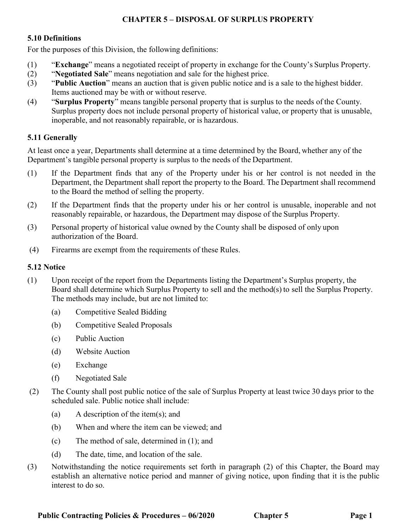# **CHAPTER 5 – DISPOSAL OF SURPLUS PROPERTY**

#### **5.10 Definitions**

For the purposes of this Division, the following definitions:

- (1) "**Exchange**" means a negotiated receipt of property in exchange for the County's Surplus Property.
- (2) "**Negotiated Sale**" means negotiation and sale for the highest price.
- (3) "**Public Auction**" means an auction that is given public notice and is a sale to the highest bidder. Items auctioned may be with or without reserve.
- (4) "**Surplus Property**" means tangible personal property that is surplus to the needs of the County. Surplus property does not include personal property of historical value, or property that is unusable, inoperable, and not reasonably repairable, or is hazardous.

## **5.11 Generally**

At least once a year, Departments shall determine at a time determined by the Board, whether any of the Department's tangible personal property is surplus to the needs of the Department.

- (1) If the Department finds that any of the Property under his or her control is not needed in the Department, the Department shall report the property to the Board. The Department shall recommend to the Board the method of selling the property.
- (2) If the Department finds that the property under his or her control is unusable, inoperable and not reasonably repairable, or hazardous, the Department may dispose of the Surplus Property.
- (3) Personal property of historical value owned by the County shall be disposed of only upon authorization of the Board.
- (4) Firearms are exempt from the requirements of these Rules.

### **5.12 Notice**

- (1) Upon receipt of the report from the Departments listing the Department's Surplus property, the Board shall determine which Surplus Property to sell and the method(s) to sell the Surplus Property. The methods may include, but are not limited to:
	- (a) Competitive Sealed Bidding
	- (b) Competitive Sealed Proposals
	- (c) Public Auction
	- (d) Website Auction
	- (e) Exchange
	- (f) Negotiated Sale
- (2) The County shall post public notice of the sale of Surplus Property at least twice 30 days prior to the scheduled sale. Public notice shall include:
	- (a) A description of the item(s); and
	- (b) When and where the item can be viewed; and
	- (c) The method of sale, determined in (1); and
	- (d) The date, time, and location of the sale.
- (3) Notwithstanding the notice requirements set forth in paragraph (2) of this Chapter, the Board may establish an alternative notice period and manner of giving notice, upon finding that it is the public interest to do so.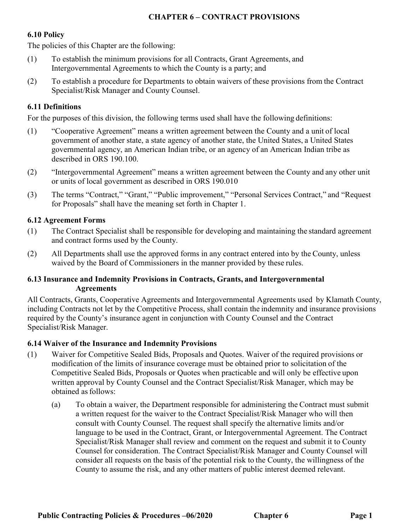### **CHAPTER 6 – CONTRACT PROVISIONS**

### **6.10 Policy**

The policies of this Chapter are the following:

- (1) To establish the minimum provisions for all Contracts, Grant Agreements, and Intergovernmental Agreements to which the County is a party; and
- (2) To establish a procedure for Departments to obtain waivers of these provisions from the Contract Specialist/Risk Manager and County Counsel.

## **6.11 Definitions**

For the purposes of this division, the following terms used shall have the following definitions:

- (1) "Cooperative Agreement" means a written agreement between the County and a unit of local government of another state, a state agency of another state, the United States, a United States governmental agency, an American Indian tribe, or an agency of an American Indian tribe as described in ORS 190.100.
- (2) "Intergovernmental Agreement" means a written agreement between the County and any other unit or units of local government as described in ORS 190.010
- (3) The terms "Contract," "Grant," "Public improvement," "Personal Services Contract," and "Request for Proposals" shall have the meaning set forth in Chapter 1.

## **6.12 Agreement Forms**

- (1) The Contract Specialist shall be responsible for developing and maintaining the standard agreement and contract forms used by the County.
- (2) All Departments shall use the approved forms in any contract entered into by the County, unless waived by the Board of Commissioners in the manner provided by these rules.

### **6.13 Insurance and Indemnity Provisions in Contracts, Grants, and Intergovernmental Agreements**

All Contracts, Grants, Cooperative Agreements and Intergovernmental Agreements used by Klamath County, including Contracts not let by the Competitive Process, shall contain the indemnity and insurance provisions required by the County's insurance agent in conjunction with County Counsel and the Contract Specialist/Risk Manager.

### **6.14 Waiver of the Insurance and Indemnity Provisions**

- (1) Waiver for Competitive Sealed Bids, Proposals and Quotes. Waiver of the required provisions or modification of the limits of insurance coverage must be obtained prior to solicitation of the Competitive Sealed Bids, Proposals or Quotes when practicable and will only be effective upon written approval by County Counsel and the Contract Specialist/Risk Manager, which may be obtained as follows:
	- (a) To obtain a waiver, the Department responsible for administering the Contract must submit a written request for the waiver to the Contract Specialist/Risk Manager who will then consult with County Counsel. The request shall specify the alternative limits and/or language to be used in the Contract, Grant, or Intergovernmental Agreement. The Contract Specialist/Risk Manager shall review and comment on the request and submit it to County Counsel for consideration. The Contract Specialist/Risk Manager and County Counsel will consider all requests on the basis of the potential risk to the County, the willingness of the County to assume the risk, and any other matters of public interest deemed relevant.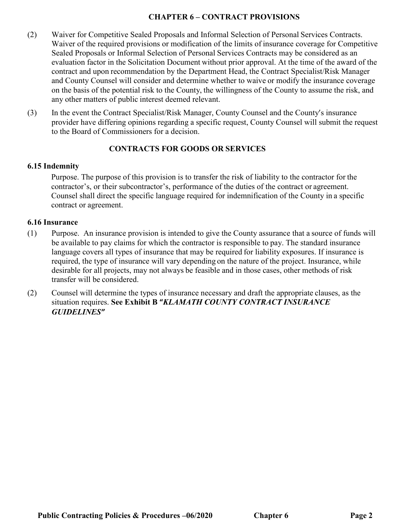### **CHAPTER 6 – CONTRACT PROVISIONS**

- (2) Waiver for Competitive Sealed Proposals and Informal Selection of Personal Services Contracts. Waiver of the required provisions or modification of the limits of insurance coverage for Competitive Sealed Proposals or Informal Selection of Personal Services Contracts may be considered as an evaluation factor in the Solicitation Document without prior approval. At the time of the award of the contract and upon recommendation by the Department Head, the Contract Specialist/Risk Manager and County Counsel will consider and determine whether to waive or modify the insurance coverage on the basis of the potential risk to the County, the willingness of the County to assume the risk, and any other matters of public interest deemed relevant.
- (3) In the event the Contract Specialist/Risk Manager, County Counsel and the County's insurance provider have differing opinions regarding a specific request, County Counsel will submit the request to the Board of Commissioners for a decision.

### **CONTRACTS FOR GOODS OR SERVICES**

#### **6.15 Indemnity**

Purpose. The purpose of this provision is to transfer the risk of liability to the contractor for the contractor's, or their subcontractor's, performance of the duties of the contract or agreement. Counsel shall direct the specific language required for indemnification of the County in a specific contract or agreement.

#### **6.16 Insurance**

- (1) Purpose. An insurance provision is intended to give the County assurance that a source of funds will be available to pay claims for which the contractor is responsible to pay. The standard insurance language covers all types of insurance that may be required for liability exposures. If insurance is required, the type of insurance will vary depending on the nature of the project. Insurance, while desirable for all projects, may not always be feasible and in those cases, other methods of risk transfer will be considered.
- (2) Counsel will determine the types of insurance necessary and draft the appropriate clauses, as the situation requires. **See Exhibit B "***KLAMATH COUNTY CONTRACT INSURANCE GUIDELINES"*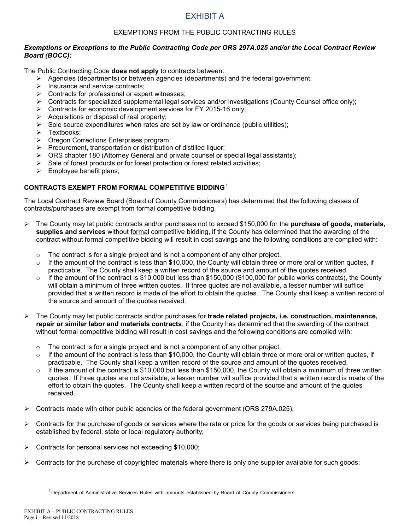#### EXEMPTIONS FROM THE PUBLIC CONTRACTING RULES

#### *Exemptions or Exceptions to the Public Contracting Code per ORS 297A.025 and/or the Local Contract Review Board (BOCC):*

The Public Contracting Code **does not apply** to contracts between:

- $\triangleright$  Agencies (departments) or between agencies (departments) and the federal government;
- $\triangleright$  Insurance and service contracts;
- $\triangleright$  Contracts for professional or expert witnesses;
- $\triangleright$  Contracts for specialized supplemental legal services and/or investigations (County Counsel office only);
- $\triangleright$  Contracts for economic development services for FY 2015-16 only;
- $\triangleright$  Acquisitions or disposal of real property;
- $\triangleright$  Sole source expenditures when rates are set by law or ordinance (public utilities);
- > Textbooks;
- ▶ Oregon Corrections Enterprises program;
- $\triangleright$  Procurement, transportation or distribution of distilled liquor;
- $\triangleright$  ORS chapter 180 (Attorney General and private counsel or special legal assistants);
- $\triangleright$  Sale of forest products or for forest protection or forest related activities;
- $\triangleright$  Employee benefit plans;

#### **CONTRACTS EXEMPT FROM FORMAL COMPETITIVE BIDDING**[1](#page-48-0)

The Local Contract Review Board (Board of County Commissioners) has determined that the following classes of contracts/purchases are exempt from formal competitive bidding.

- The County may let public contracts and/or purchases not to exceed \$150,000 for the **purchase of goods, materials, supplies and services** without formal competitive bidding, if the County has determined that the awarding of the contract without formal competitive bidding will result in cost savings and the following conditions are complied with:
	- $\circ$  The contract is for a single project and is not a component of any other project.
	- $\circ$  If the amount of the contract is less than \$10,000, the County will obtain three or more oral or written quotes, if practicable. The County shall keep a written record of the source and amount of the quotes received.
	- $\circ$  If the amount of the contract is \$10,000 but less than \$150,000 (\$100,000 for public works contracts), the County will obtain a minimum of three written quotes. If three quotes are not available, a lesser number will suffice provided that a written record is made of the effort to obtain the quotes. The County shall keep a written record of the source and amount of the quotes received.
- The County may let public contracts and/or purchases for **trade related projects, i.e. construction, maintenance, repair or similar labor and materials contracts**, if the County has determined that the awarding of the contract without formal competitive bidding will result in cost savings and the following conditions are complied with:
	- $\circ$  The contract is for a single project and is not a component of any other project.
	- $\circ$  If the amount of the contract is less than \$10,000, the County will obtain three or more oral or written quotes, if practicable. The County shall keep a written record of the source and amount of the quotes received.
	- $\circ$  If the amount of the contract is \$10,000 but less than \$150,000, the County will obtain a minimum of three written quotes. If three quotes are not available, a lesser number will suffice provided that a written record is made of the effort to obtain the quotes. The County shall keep a written record of the source and amount of the quotes received.
- $\triangleright$  Contracts made with other public agencies or the federal government (ORS 279A.025);
- $\triangleright$  Contracts for the purchase of goods or services where the rate or price for the goods or services being purchased is established by federal, state or local regulatory authority;
- Contracts for personal services not exceeding \$10,000;
- $\triangleright$  Contracts for the purchase of copyrighted materials where there is only one supplier available for such goods;

<span id="page-48-0"></span> $\overline{a}$ 

 $1$ Department of Administrative Services Rules with amounts established by Board of County Commissioners.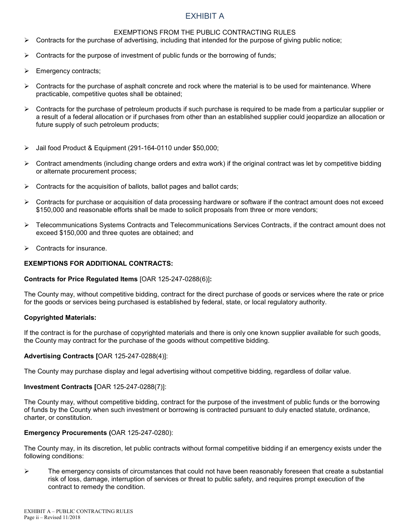#### EXEMPTIONS FROM THE PUBLIC CONTRACTING RULES

- $\triangleright$  Contracts for the purchase of advertising, including that intended for the purpose of giving public notice;
- $\triangleright$  Contracts for the purpose of investment of public funds or the borrowing of funds;
- $\triangleright$  Emergency contracts;
- $\triangleright$  Contracts for the purchase of asphalt concrete and rock where the material is to be used for maintenance. Where practicable, competitive quotes shall be obtained;
- $\triangleright$  Contracts for the purchase of petroleum products if such purchase is required to be made from a particular supplier or a result of a federal allocation or if purchases from other than an established supplier could jeopardize an allocation or future supply of such petroleum products;
- Jail food Product & Equipment (291-164-0110 under \$50,000;
- $\triangleright$  Contract amendments (including change orders and extra work) if the original contract was let by competitive bidding or alternate procurement process;
- $\triangleright$  Contracts for the acquisition of ballots, ballot pages and ballot cards;
- $\triangleright$  Contracts for purchase or acquisition of data processing hardware or software if the contract amount does not exceed \$150,000 and reasonable efforts shall be made to solicit proposals from three or more vendors;
- ▶ Telecommunications Systems Contracts and Telecommunications Services Contracts, if the contract amount does not exceed \$150,000 and three quotes are obtained; and
- $\triangleright$  Contracts for insurance.

#### **EXEMPTIONS FOR ADDITIONAL CONTRACTS:**

#### **Contracts for Price Regulated Items** [OAR 125-247-0288(6)]**:**

The County may, without competitive bidding, contract for the direct purchase of goods or services where the rate or price for the goods or services being purchased is established by federal, state, or local regulatory authority.

#### **Copyrighted Materials:**

If the contract is for the purchase of copyrighted materials and there is only one known supplier available for such goods, the County may contract for the purchase of the goods without competitive bidding.

#### **Advertising Contracts [**OAR 125-247-0288(4)]:

The County may purchase display and legal advertising without competitive bidding, regardless of dollar value.

#### **Investment Contracts [**OAR 125-247-0288(7)]:

The County may, without competitive bidding, contract for the purpose of the investment of public funds or the borrowing of funds by the County when such investment or borrowing is contracted pursuant to duly enacted statute, ordinance, charter, or constitution.

#### **Emergency Procurements (**OAR 125-247-0280):

The County may, in its discretion, let public contracts without formal competitive bidding if an emergency exists under the following conditions:

 $\triangleright$  The emergency consists of circumstances that could not have been reasonably foreseen that create a substantial risk of loss, damage, interruption of services or threat to public safety, and requires prompt execution of the contract to remedy the condition.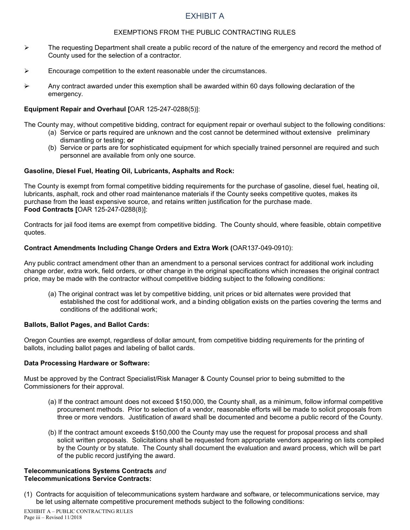#### EXEMPTIONS FROM THE PUBLIC CONTRACTING RULES

- $\triangleright$  The requesting Department shall create a public record of the nature of the emergency and record the method of County used for the selection of a contractor.
- $\triangleright$  Encourage competition to the extent reasonable under the circumstances.
- Any contract awarded under this exemption shall be awarded within 60 days following declaration of the emergency.

#### **Equipment Repair and Overhaul [**OAR 125-247-0288(5)]:

The County may, without competitive bidding, contract for equipment repair or overhaul subject to the following conditions:

- (a) Service or parts required are unknown and the cost cannot be determined without extensive preliminary dismantling or testing; **or**
- (b) Service or parts are for sophisticated equipment for which specially trained personnel are required and such personnel are available from only one source.

#### **Gasoline, Diesel Fuel, Heating Oil, Lubricants, Asphalts and Rock:**

The County is exempt from formal competitive bidding requirements for the purchase of gasoline, diesel fuel, heating oil, lubricants, asphalt, rock and other road maintenance materials if the County seeks competitive quotes, makes its purchase from the least expensive source, and retains written justification for the purchase made. **Food Contracts [**OAR 125-247-0288(8)]:

Contracts for jail food items are exempt from competitive bidding. The County should, where feasible, obtain competitive quotes.

#### **Contract Amendments Including Change Orders and Extra Work (**OAR137-049-0910):

Any public contract amendment other than an amendment to a personal services contract for additional work including change order, extra work, field orders, or other change in the original specifications which increases the original contract price, may be made with the contractor without competitive bidding subject to the following conditions:

(a) The original contract was let by competitive bidding, unit prices or bid alternates were provided that established the cost for additional work, and a binding obligation exists on the parties covering the terms and conditions of the additional work;

#### **Ballots, Ballot Pages, and Ballot Cards:**

Oregon Counties are exempt, regardless of dollar amount, from competitive bidding requirements for the printing of ballots, including ballot pages and labeling of ballot cards.

#### **Data Processing Hardware or Software:**

Must be approved by the Contract Specialist/Risk Manager & County Counsel prior to being submitted to the Commissioners for their approval.

- (a) If the contract amount does not exceed \$150,000, the County shall, as a minimum, follow informal competitive procurement methods. Prior to selection of a vendor, reasonable efforts will be made to solicit proposals from three or more vendors. Justification of award shall be documented and become a public record of the County.
- (b) If the contract amount exceeds \$150,000 the County may use the request for proposal process and shall solicit written proposals. Solicitations shall be requested from appropriate vendors appearing on lists compiled by the County or by statute. The County shall document the evaluation and award process, which will be part of the public record justifying the award.

#### **Telecommunications Systems Contracts** *and* **Telecommunications Service Contracts:**

(1) Contracts for acquisition of telecommunications system hardware and software, or telecommunications service, may be let using alternate competitive procurement methods subject to the following conditions: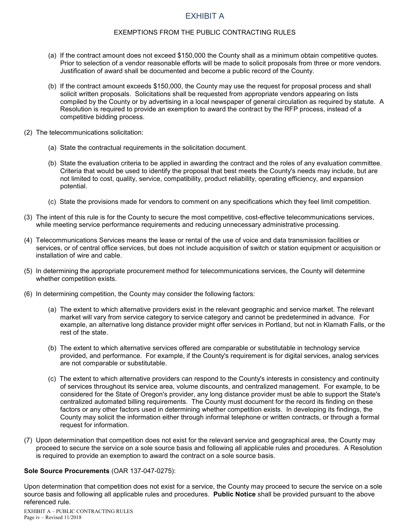#### EXEMPTIONS FROM THE PUBLIC CONTRACTING RULES

- (a) If the contract amount does not exceed \$150,000 the County shall as a minimum obtain competitive quotes. Prior to selection of a vendor reasonable efforts will be made to solicit proposals from three or more vendors. Justification of award shall be documented and become a public record of the County.
- (b) If the contract amount exceeds \$150,000, the County may use the request for proposal process and shall solicit written proposals. Solicitations shall be requested from appropriate vendors appearing on lists compiled by the County or by advertising in a local newspaper of general circulation as required by statute. A Resolution is required to provide an exemption to award the contract by the RFP process, instead of a competitive bidding process.
- (2) The telecommunications solicitation:
	- (a) State the contractual requirements in the solicitation document.
	- (b) State the evaluation criteria to be applied in awarding the contract and the roles of any evaluation committee. Criteria that would be used to identify the proposal that best meets the County's needs may include, but are not limited to cost, quality, service, compatibility, product reliability, operating efficiency, and expansion potential.
	- (c) State the provisions made for vendors to comment on any specifications which they feel limit competition.
- (3) The intent of this rule is for the County to secure the most competitive, cost-effective telecommunications services, while meeting service performance requirements and reducing unnecessary administrative processing.
- (4) Telecommunications Services means the lease or rental of the use of voice and data transmission facilities or services, or of central office services, but does not include acquisition of switch or station equipment or acquisition or installation of wire and cable.
- (5) In determining the appropriate procurement method for telecommunications services, the County will determine whether competition exists.
- (6) In determining competition, the County may consider the following factors:
	- (a) The extent to which alternative providers exist in the relevant geographic and service market. The relevant market will vary from service category to service category and cannot be predetermined in advance. For example, an alternative long distance provider might offer services in Portland, but not in Klamath Falls, or the rest of the state.
	- (b) The extent to which alternative services offered are comparable or substitutable in technology service provided, and performance. For example, if the County's requirement is for digital services, analog services are not comparable or substitutable.
	- (c) The extent to which alternative providers can respond to the County's interests in consistency and continuity of services throughout its service area, volume discounts, and centralized management. For example, to be considered for the State of Oregon's provider, any long distance provider must be able to support the State's centralized automated billing requirements. The County must document for the record its finding on these factors or any other factors used in determining whether competition exists. In developing its findings, the County may solicit the information either through informal telephone or written contracts, or through a formal request for information.
- (7) Upon determination that competition does not exist for the relevant service and geographical area, the County may proceed to secure the service on a sole source basis and following all applicable rules and procedures. A Resolution is required to provide an exemption to award the contract on a sole source basis.

#### **Sole Source Procurements** (OAR 137-047-0275):

Upon determination that competition does not exist for a service, the County may proceed to secure the service on a sole source basis and following all applicable rules and procedures. **Public Notice** shall be provided pursuant to the above referenced rule.

EXHIBIT A – PUBLIC CONTRACTING RULES Page iv – Revised 11/2018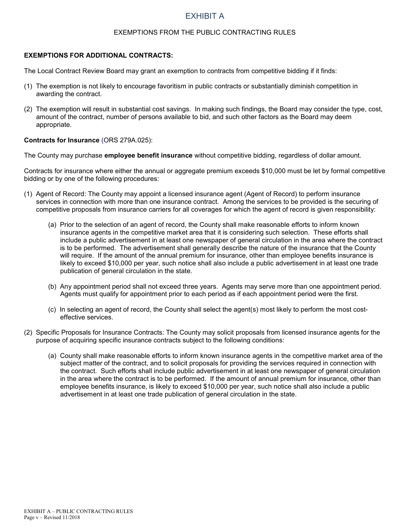#### EXEMPTIONS FROM THE PUBLIC CONTRACTING RULES

#### **EXEMPTIONS FOR ADDITIONAL CONTRACTS:**

The Local Contract Review Board may grant an exemption to contracts from competitive bidding if it finds:

- (1) The exemption is not likely to encourage favoritism in public contracts or substantially diminish competition in awarding the contract.
- (2) The exemption will result in substantial cost savings. In making such findings, the Board may consider the type, cost, amount of the contract, number of persons available to bid, and such other factors as the Board may deem appropriate.

#### **Contracts for Insurance** (ORS 279A.025):

The County may purchase **employee benefit insurance** without competitive bidding, regardless of dollar amount.

Contracts for insurance where either the annual or aggregate premium exceeds \$10,000 must be let by formal competitive bidding or by one of the following procedures:

- (1) Agent of Record: The County may appoint a licensed insurance agent (Agent of Record) to perform insurance services in connection with more than one insurance contract. Among the services to be provided is the securing of competitive proposals from insurance carriers for all coverages for which the agent of record is given responsibility:
	- (a) Prior to the selection of an agent of record, the County shall make reasonable efforts to inform known insurance agents in the competitive market area that it is considering such selection. These efforts shall include a public advertisement in at least one newspaper of general circulation in the area where the contract is to be performed. The advertisement shall generally describe the nature of the insurance that the County will require. If the amount of the annual premium for insurance, other than employee benefits insurance is likely to exceed \$10,000 per year, such notice shall also include a public advertisement in at least one trade publication of general circulation in the state.
	- (b) Any appointment period shall not exceed three years. Agents may serve more than one appointment period. Agents must qualify for appointment prior to each period as if each appointment period were the first.
	- (c) In selecting an agent of record, the County shall select the agent(s) most likely to perform the most costeffective services.
- (2) Specific Proposals for Insurance Contracts: The County may solicit proposals from licensed insurance agents for the purpose of acquiring specific insurance contracts subject to the following conditions:
	- (a) County shall make reasonable efforts to inform known insurance agents in the competitive market area of the subject matter of the contract, and to solicit proposals for providing the services required in connection with the contract. Such efforts shall include public advertisement in at least one newspaper of general circulation in the area where the contract is to be performed. If the amount of annual premium for insurance, other than employee benefits insurance, is likely to exceed \$10,000 per year, such notice shall also include a public advertisement in at least one trade publication of general circulation in the state.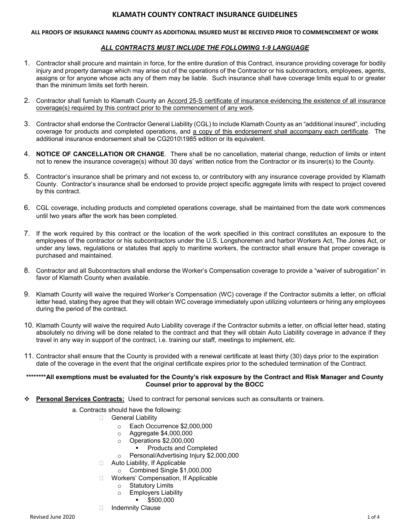#### **ALL PROOFS OF INSURANCE NAMING COUNTY AS ADDITIONAL INSURED MUST BE RECEIVED PRIOR TO COMMENCEMENT OF WORK**

#### *ALL CONTRACTS MUST INCLUDE THE FOLLOWING 1-9 LANGUAGE*

- 1. Contractor shall procure and maintain in force, for the entire duration of this Contract, insurance providing coverage for bodily injury and property damage which may arise out of the operations of the Contractor or his subcontractors, employees, agents, assigns or for anyone whose acts any of them may be liable. Such insurance shall have coverage limits equal to or greater than the minimum limits set forth herein.
- 2. Contractor shall furnish to Klamath County an Accord 25-S certificate of insurance evidencing the existence of all insurance coverage(s) required by this contract prior to the commencement of any work.
- 3. Contractor shall endorse the Contractor General Liability (CGL) to include Klamath County as an "additional insured", including coverage for products and completed operations, and a copy of this endorsement shall accompany each certificate. The additional insurance endorsement shall be CG2010\1985 edition or its equivalent.
- 4. **NOTICE OF CANCELLATION OR CHANGE**. There shall be no cancellation, material change, reduction of limits or intent not to renew the insurance coverage(s) without 30 days' written notice from the Contractor or its insurer(s) to the County.
- 5. Contractor's insurance shall be primary and not excess to, or contributory with any insurance coverage provided by Klamath County. Contractor's insurance shall be endorsed to provide project specific aggregate limits with respect to project covered by this contract.
- 6. CGL coverage, including products and completed operations coverage, shall be maintained from the date work commences until two years after the work has been completed.
- 7. If the work required by this contract or the location of the work specified in this contract constitutes an exposure to the employees of the contractor or his subcontractors under the U.S. Longshoremen and harbor Workers Act, The Jones Act, or under any laws, regulations or statutes that apply to maritime workers, the contractor shall ensure that proper coverage is purchased and maintained.
- 8. Contractor and all Subcontractors shall endorse the Worker's Compensation coverage to provide a "waiver of subrogation" in favor of Klamath County when available.
- 9. Klamath County will waive the required Worker's Compensation (WC) coverage if the Contractor submits a letter, on official letter head, stating they agree that they will obtain WC coverage immediately upon utilizing volunteers or hiring any employees during the period of the contract.
- 10. Klamath County will waive the required Auto Liability coverage if the Contractor submits a letter, on official letter head, stating absolutely no driving will be done related to the contract and that they will obtain Auto Liability coverage in advance if they travel in any way in support of the contract, i.e. training our staff, meetings to implement, etc.
- 11. Contractor shall ensure that the County is provided with a renewal certificate at least thirty (30) days prior to the expiration date of the coverage in the event that the original certificate expires prior to the scheduled termination of the Contract.

#### **\*\*\*\*\*\*\*\*All exemptions must be evaluated for the County's risk exposure by the Contract and Risk Manager and County Counsel prior to approval by the BOCC**

- **Personal Services Contracts:** Used to contract for personal services such as consultants or trainers.
	- a. Contracts should have the following:
		- General Liability
			- $\circ$  Each Occurrence \$2,000,000<br> $\circ$  Aggregate \$4,000.000
			- $\circ$  Aggregate \$4,000,000<br> $\circ$  Operations \$2.000.000
			- o Operations \$2,000,000
				- Products and Completed
			- o Personal/Advertising Injury \$2,000,000
		- □ Auto Liability, If Applicable
			- o Combined Single \$1,000,000
		- □ Workers' Compensation, If Applicable
			- o Statutory Limits
			- Employers Liability<br>■ \$500,000
			- \$500,000
		- □ Indemnity Clause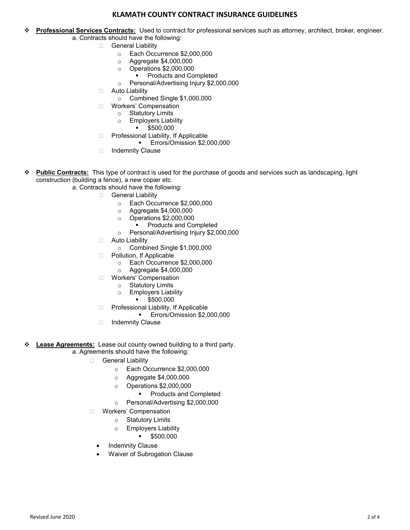- **Professional Services Contracts:** Used to contract for professional services such as attorney, architect, broker, engineer. a. Contracts should have the following:
	- General Liability
		- o Each Occurrence \$2,000,000<br>○ Aggregate \$4,000,000
		- $\circ$  Aggregate \$4,000,000<br> $\circ$  Operations \$2,000,000
		- Operations \$2,000,000<br>Products and Co
		- Products and Completed
		- o Personal/Advertising Injury \$2,000,000
		- □ Auto Liability
			- o Combined Single \$1,000,000
		- □ Workers' Compensation
			- o Statutory Limits<br>○ Employers Liab
				- **Employers Liability**
				- \$500,000
		- □ Professional Liability, If Applicable
			- Errors/Omission \$2,000,000
		- □ Indemnity Clause
- **Public Contracts:**This type of contract is used for the purchase of goods and services such as landscaping, light construction (building a fence), a new copier etc.
	- a. Contracts should have the following:
		- General Liability
			- o Each Occurrence \$2,000,000
			- o Aggregate \$4,000,000
			- o Operations \$2,000,000
				- **Products and Completed**
			- o Personal/Advertising Injury \$2,000,000
		- □ Auto Liability
			- o Combined Single \$1,000,000
		- D Pollution, If Applicable
			- o Each Occurrence \$2,000,000
			- o Aggregate \$4,000,000
		- Workers' Compensation
			- o Statutory Limits
			- $\circ$  Employers Liability
				- \$500,000
		- □ Professional Liability, If Applicable
			- Errors/Omission \$2,000,000
		- □ Indemnity Clause
- **Lease Agreements:** Lease out county owned building to a third party.
	- a. Agreements should have the following:
		- General Liability
			- o Each Occurrence \$2,000,000
			- o Aggregate \$4,000,000
			- o Operations \$2,000,000
				- Products and Completed
			- o Personal/Advertising \$2,000,000
		- Workers' Compensation
			- o Statutory Limits
			- o Employers Liability
				- $\bullet$  \$500,000
			- **Indemnity Clause**
			- Waiver of Subrogation Clause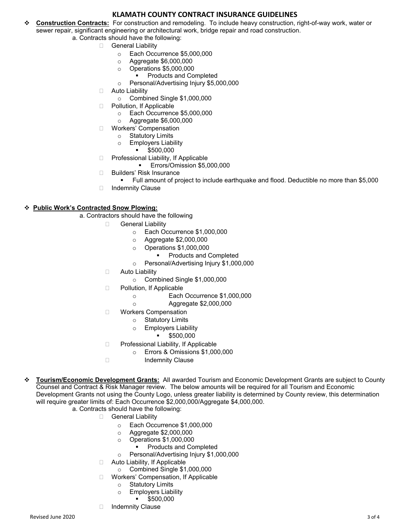- **Construction Contracts:** For construction and remodeling. To include heavy construction, right-of-way work, water or sewer repair, significant engineering or architectural work, bridge repair and road construction.
	- a. Contracts should have the following:
		- General Liability
			- o Each Occurrence \$5,000,000
			- $\circ$  Aggregate \$6,000,000<br> $\circ$  Operations \$5,000,000
			- Operations \$5,000,000<br>Products and Co
			- Products and Completed
			- o Personal/Advertising Injury \$5,000,000
		- □ Auto Liability
			- o Combined Single \$1,000,000
		- D Pollution, If Applicable
			- $\circ$  Each Occurrence \$5,000,000<br> $\circ$  Aggregate \$6,000,000
			- o Aggregate \$6,000,000
		- Workers' Compensation
			- o Statutory Limits<br>○ Employers Liab
				- **Employers Liability**
				- \$500,000
		- D Professional Liability, If Applicable
			- Errors/Omission \$5,000,000
		- □ Builders' Risk Insurance
			- Full amount of project to include earthquake and flood. Deductible no more than \$5,000
		- □ Indemnity Clause

#### **Public Work's Contracted Snow Plowing:**

- a. Contractors should have the following
	- General Liability
		- o Each Occurrence \$1,000,000
		- o Aggregate \$2,000,000
		- o Operations \$1,000,000
			- Products and Completed
		- o Personal/Advertising Injury \$1,000,000
	- □ Auto Liability
		- o Combined Single \$1,000,000
	- D Pollution, If Applicable
		- o Each Occurrence \$1,000,000
		- o Aggregate \$2,000,000
	- □ Workers Compensation
		- o Statutory Limits
		- o Employers Liability
			- $-$ \$500,000
	- □ Professional Liability, If Applicable
		- o Errors & Omissions \$1,000,000
	- □ **Indemnity Clause**
- **Tourism/Economic Development Grants:** All awarded Tourism and Economic Development Grants are subject to County Counsel and Contract & Risk Manager review. The below amounts will be required for all Tourism and Economic Development Grants not using the County Logo, unless greater liability is determined by County review, this determination will require greater limits of: Each Occurrence \$2,000,000/Aggregate \$4,000,000.
	- a. Contracts should have the following:
		- General Liability
			- o Each Occurrence \$1,000,000
			- o Aggregate \$2,000,000
			- o Operations \$1,000,000
				- Products and Completed
			- o Personal/Advertising Injury \$1,000,000
			- □ Auto Liability, If Applicable
				- o Combined Single \$1,000,000
			- □ Workers' Compensation, If Applicable
				- o Statutory Limits
				- o Employers Liability
				- \$500,000
			- Indemnity Clause